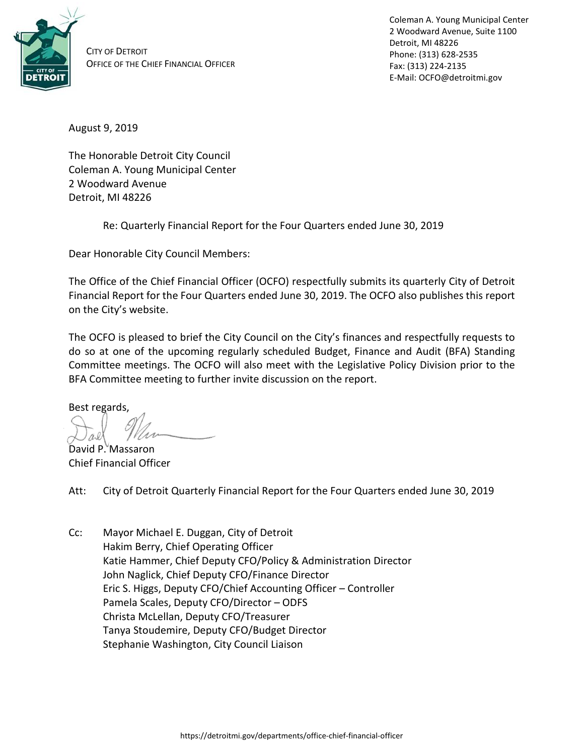

CITY OF DETROIT OFFICE OF THE CHIEF FINANCIAL OFFICER Coleman A. Young Municipal Center 2 Woodward Avenue, Suite 1100 Detroit, MI 48226 Phone: (313) 628-2535 Fax: (313) 224-2135 E-Mail: OCFO@detroitmi.gov

August 9, 2019

The Honorable Detroit City Council Coleman A. Young Municipal Center 2 Woodward Avenue Detroit, MI 48226

Re: Quarterly Financial Report for the Four Quarters ended June 30, 2019

Dear Honorable City Council Members:

The Office of the Chief Financial Officer (OCFO) respectfully submits its quarterly City of Detroit Financial Report for the Four Quarters ended June 30, 2019. The OCFO also publishes this report on the City's website.

The OCFO is pleased to brief the City Council on the City's finances and respectfully requests to do so at one of the upcoming regularly scheduled Budget, Finance and Audit (BFA) Standing Committee meetings. The OCFO will also meet with the Legislative Policy Division prior to the BFA Committee meeting to further invite discussion on the report.

Best regards,

David P. Massaron Chief Financial Officer

Att: City of Detroit Quarterly Financial Report for the Four Quarters ended June 30, 2019

Cc: Mayor Michael E. Duggan, City of Detroit Hakim Berry, Chief Operating Officer Katie Hammer, Chief Deputy CFO/Policy & Administration Director John Naglick, Chief Deputy CFO/Finance Director Eric S. Higgs, Deputy CFO/Chief Accounting Officer – Controller Pamela Scales, Deputy CFO/Director – ODFS Christa McLellan, Deputy CFO/Treasurer Tanya Stoudemire, Deputy CFO/Budget Director Stephanie Washington, City Council Liaison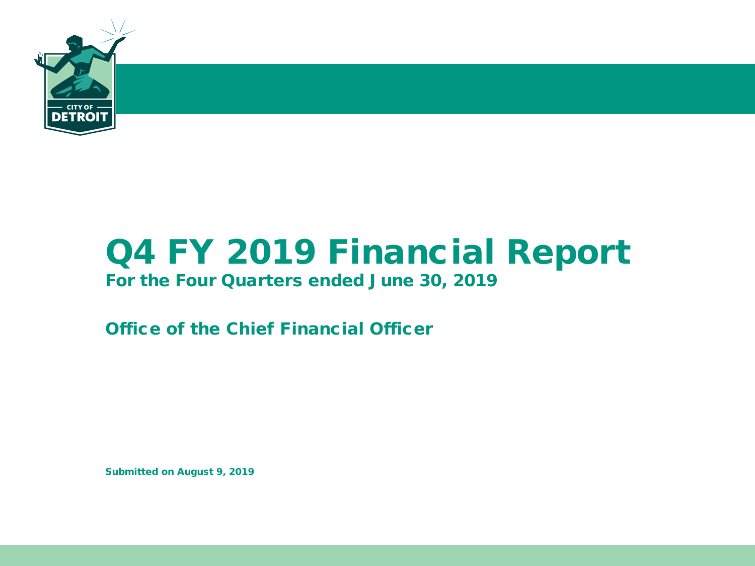

# Q4 FY 2019 Financial Report

### For the Four Quarters ended June 30, 2019

Office of the Chief Financial Officer

Submitted on August 9, 2019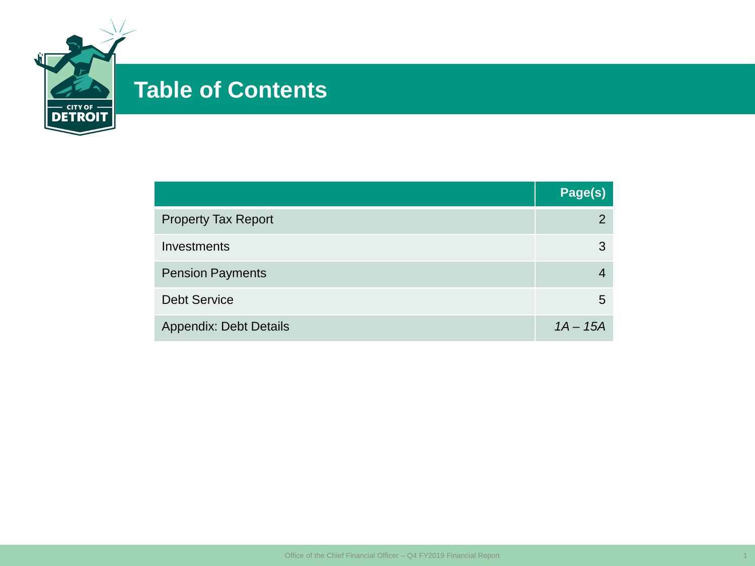

### **Table of Contents**

|                               | Page(s)    |
|-------------------------------|------------|
| <b>Property Tax Report</b>    | 2          |
| Investments                   | 3          |
| <b>Pension Payments</b>       |            |
| <b>Debt Service</b>           | 5          |
| <b>Appendix: Debt Details</b> | $1A - 15A$ |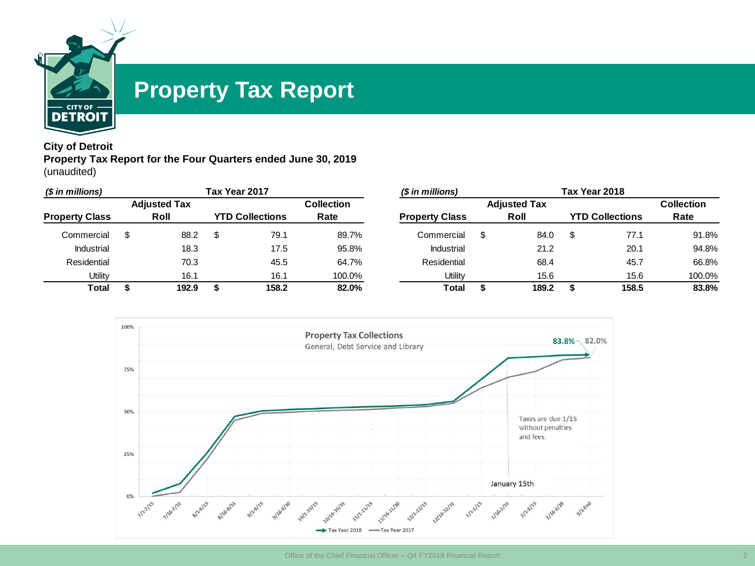

### **Property Tax Report**

#### **City of Detroit Property Tax Report for the Four Quarters ended June 30, 2019** (unaudited)

| (\$ in millions)      |                     | Tax Year 2017 |                        |                   | (\$ in millions)      |   |                     | Tax Year 2018          |                   |
|-----------------------|---------------------|---------------|------------------------|-------------------|-----------------------|---|---------------------|------------------------|-------------------|
|                       | <b>Adjusted Tax</b> |               |                        | <b>Collection</b> |                       |   | <b>Adjusted Tax</b> |                        | <b>Collection</b> |
| <b>Property Class</b> | Roll                |               | <b>YTD Collections</b> | Rate              | <b>Property Class</b> |   | Roll                | <b>YTD Collections</b> | Rate              |
| Commercial            | 88.2                |               | 79.1                   | 89.7%             | Commercial            | S | 84.0                | 77.1                   | 91.8%             |
| Industrial            | 18.3                |               | 17.5                   | 95.8%             | Industrial            |   | 21.2                | 20.1                   | 94.8%             |
| Residential           | 70.3                |               | 45.5                   | 64.7%             | Residential           |   | 68.4                | 45.7                   | 66.8%             |
| Utility               | 16.1                |               | 16.1                   | 100.0%            | Utility               |   | 15.6                | 15.6                   | 100.0%            |
| <b>Total</b>          | 192.9               |               | 158.2                  | 82.0%             | Total                 |   | 189.2               | 158.5                  | 83.8%             |

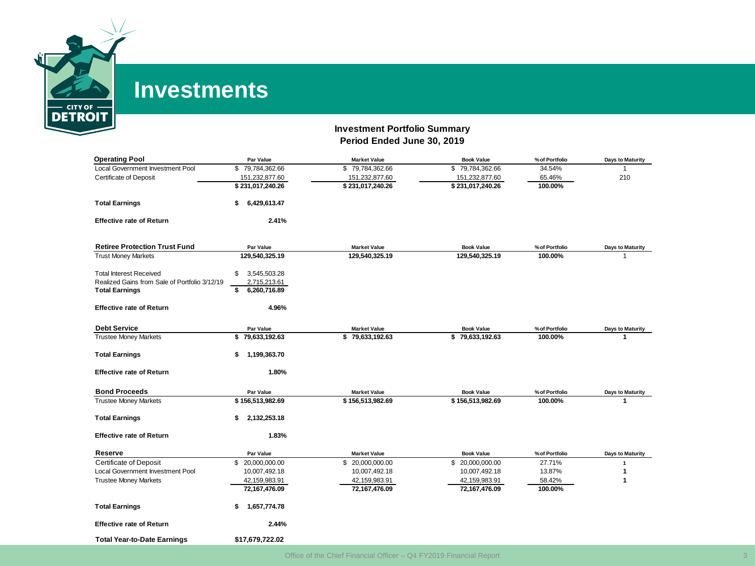

### **Investments**

#### **Investment Portfolio Summary Period Ended June 30, 2019**

| <b>Operating Pool</b>                         | Par Value          | <b>Market Value</b> | <b>Book Value</b> | % of Portfolio | <b>Days to Maturity</b> |
|-----------------------------------------------|--------------------|---------------------|-------------------|----------------|-------------------------|
| <b>Local Government Investment Pool</b>       | \$79,784,362.66    | \$79,784,362.66     | \$79,784,362.66   | 34.54%         | 1                       |
| <b>Certificate of Deposit</b>                 | 151,232,877.60     | 151,232,877.60      | 151,232,877.60    | 65.46%         | 210                     |
|                                               | \$231,017,240.26   | \$231,017,240.26    | \$231,017,240.26  | 100.00%        |                         |
| <b>Total Earnings</b>                         | 6,429,613.47<br>\$ |                     |                   |                |                         |
| <b>Effective rate of Return</b>               | 2.41%              |                     |                   |                |                         |
| <b>Retiree Protection Trust Fund</b>          | Par Value          | <b>Market Value</b> | <b>Book Value</b> | % of Portfolio | <b>Days to Maturity</b> |
| <b>Trust Money Markets</b>                    | 129,540,325.19     | 129,540,325.19      | 129,540,325.19    | 100.00%        |                         |
|                                               |                    |                     |                   |                |                         |
| <b>Total Interest Received</b>                | 3,545,503.28<br>\$ |                     |                   |                |                         |
| Realized Gains from Sale of Portfolio 3/12/19 | 2,715,213.61       |                     |                   |                |                         |
| <b>Total Earnings</b>                         | 6,260,716.89<br>\$ |                     |                   |                |                         |
| <b>Effective rate of Return</b>               | 4.96%              |                     |                   |                |                         |
| <b>Debt Service</b>                           | Par Value          | <b>Market Value</b> | <b>Book Value</b> | % of Portfolio | <b>Days to Maturity</b> |
| <b>Trustee Money Markets</b>                  | \$79,633,192.63    | \$79,633,192.63     | \$79,633,192.63   | 100.00%        | 1                       |
|                                               |                    |                     |                   |                |                         |
| <b>Total Earnings</b>                         | 1,199,363.70<br>\$ |                     |                   |                |                         |
| <b>Effective rate of Return</b>               | 1.80%              |                     |                   |                |                         |
| <b>Bond Proceeds</b>                          | Par Value          | <b>Market Value</b> | <b>Book Value</b> | % of Portfolio | <b>Days to Maturity</b> |
| <b>Trustee Money Markets</b>                  | \$156,513,982.69   | \$156,513,982.69    | \$156,513,982.69  | 100.00%        | 1                       |
|                                               |                    |                     |                   |                |                         |
| <b>Total Earnings</b>                         | 2,132,253.18<br>\$ |                     |                   |                |                         |
| <b>Effective rate of Return</b>               | 1.83%              |                     |                   |                |                         |
| Reserve                                       | Par Value          | <b>Market Value</b> | <b>Book Value</b> | % of Portfolio | <b>Days to Maturity</b> |
| <b>Certificate of Deposit</b>                 | \$ 20,000,000.00   | \$ 20,000,000.00    | \$ 20,000,000.00  | 27.71%         | 1                       |
| Local Government Investment Pool              | 10,007,492.18      | 10,007,492.18       | 10,007,492.18     | 13.87%         | 1                       |
| <b>Trustee Money Markets</b>                  | 42,159,983.91      | 42,159,983.91       | 42,159,983.91     | 58.42%         | 1                       |
|                                               | 72,167,476.09      | 72,167,476.09       | 72,167,476.09     | 100.00%        |                         |
| <b>Total Earnings</b>                         | 1,657,774.78<br>\$ |                     |                   |                |                         |
| <b>Effective rate of Return</b>               | 2.44%              |                     |                   |                |                         |
| <b>Total Year-to-Date Earnings</b>            | \$17.679.722.02    |                     |                   |                |                         |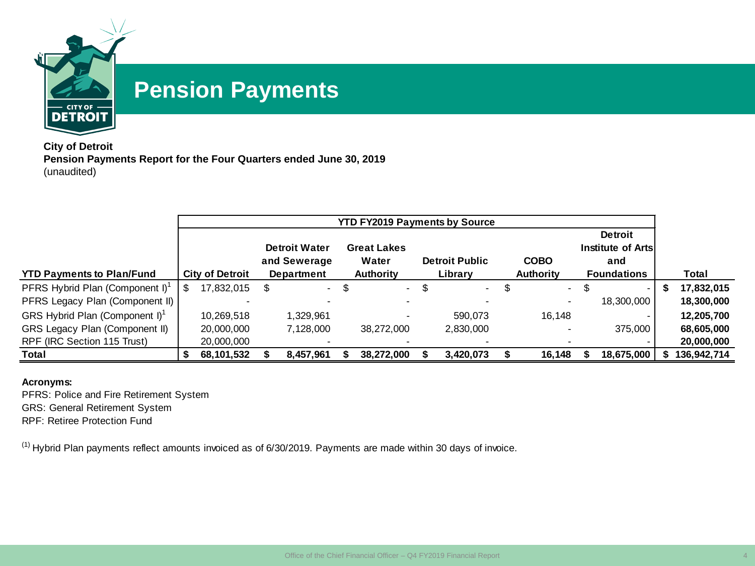

### **Pension Payments**

**City of Detroit Pension Payments Report for the Four Quarters ended June 30, 2019** (unaudited)

|                                             |   |                        |     |                                      | <b>YTD FY2019 Payments by Source</b> |                       |   |                  |     |                                            |             |
|---------------------------------------------|---|------------------------|-----|--------------------------------------|--------------------------------------|-----------------------|---|------------------|-----|--------------------------------------------|-------------|
|                                             |   |                        |     | <b>Detroit Water</b><br>and Sewerage | <b>Great Lakes</b><br>Water          | <b>Detroit Public</b> |   | <b>COBO</b>      |     | <b>Detroit</b><br>Institute of Arts<br>and |             |
| <b>YTD Payments to Plan/Fund</b>            |   | <b>City of Detroit</b> |     | <b>Department</b>                    | <b>Authority</b>                     | Library               |   | <b>Authority</b> |     | <b>Foundations</b>                         | Total       |
| PFRS Hybrid Plan (Component I) <sup>1</sup> | S | 17,832,015             | \$. | $-5$                                 | $\sim 10^{-11}$                      | \$<br>$\blacksquare$  | Œ | $\sim$           | \$. |                                            | 17,832,015  |
| PFRS Legacy Plan (Component II)             |   |                        |     | $\overline{\phantom{0}}$             |                                      |                       |   |                  |     | 18,300,000                                 | 18,300,000  |
| GRS Hybrid Plan (Component I) <sup>1</sup>  |   | 10.269.518             |     | 1,329,961                            |                                      | 590.073               |   | 16.148           |     |                                            | 12,205,700  |
| GRS Legacy Plan (Component II)              |   | 20,000,000             |     | 7,128,000                            | 38,272,000                           | 2,830,000             |   |                  |     | 375,000                                    | 68,605,000  |
| RPF (IRC Section 115 Trust)                 |   | 20,000,000             |     |                                      |                                      |                       |   |                  |     |                                            | 20,000,000  |
| <b>Total</b>                                |   | 68,101,532             |     | 8,457,961                            | 38,272,000                           | 3,420,073             |   | 16,148           |     | 18,675,000                                 | 136,942,714 |

#### **Acronyms:**

PFRS: Police and Fire Retirement System GRS: General Retirement System

RPF: Retiree Protection Fund

 $(1)$  Hybrid Plan payments reflect amounts invoiced as of 6/30/2019. Payments are made within 30 days of invoice.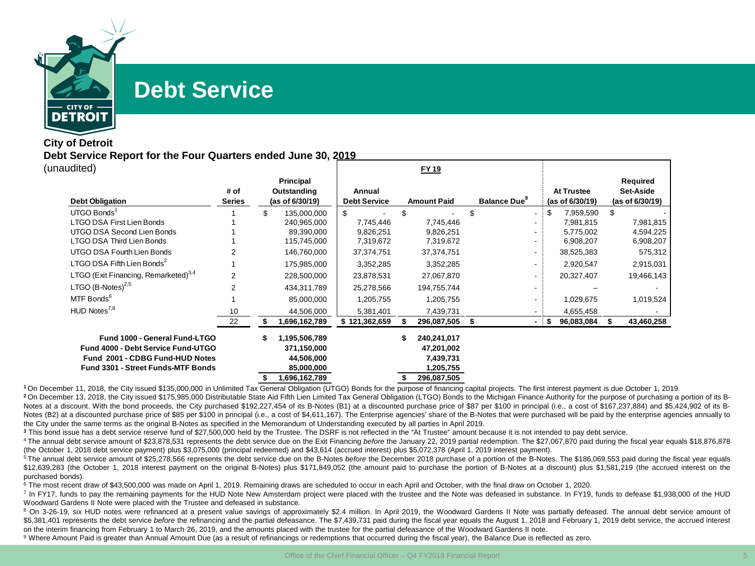

### **Debt Service**

#### **City of Detroit Debt Service Report for the Four Quarters ended June 30, 2019** (unaudited)

| uunuu                                            |               |                     |                     | .                  |                    |     |                   |                 |
|--------------------------------------------------|---------------|---------------------|---------------------|--------------------|--------------------|-----|-------------------|-----------------|
|                                                  |               | Principal           |                     |                    |                    |     |                   | Required        |
|                                                  | # of          | Outstanding         | Annual              |                    |                    |     | <b>At Trustee</b> | Set-Aside       |
| <b>Debt Obligation</b>                           | <b>Series</b> | (as of 6/30/19)     | <b>Debt Service</b> | <b>Amount Paid</b> | <b>Balance Due</b> |     | (as of 6/30/19)   | (as of 6/30/19) |
| UTGO Bonds <sup>1</sup>                          |               | \$<br>135,000,000   | \$                  | \$                 |                    | \$  | 7,959,590         | \$              |
| LTGO DSA First Lien Bonds                        |               | 240,965,000         | 7,745,446           | 7,745,446          |                    |     | 7,981,815         | 7,981,815       |
| UTGO DSA Second Lien Bonds                       |               | 89,390,000          | 9,826,251           | 9,826,251          |                    |     | 5,775,002         | 4,594,225       |
| LTGO DSA Third Lien Bonds                        |               | 115,745,000         | 7,319,672           | 7,319,672          |                    |     | 6,908,207         | 6,908,207       |
| UTGO DSA Fourth Lien Bonds                       |               | 146,760,000         | 37,374,751          | 37, 374, 751       |                    |     | 38,525,383        | 575,312         |
| LTGO DSA Fifth Lien Bonds <sup>2</sup>           |               | 175,985,000         | 3,352,285           | 3,352,285          |                    |     | 2,920,547         | 2,915,031       |
| LTGO (Exit Financing, Remarketed) <sup>3,4</sup> |               | 228,500,000         | 23,878,531          | 27,067,870         |                    |     | 20,327,407        | 19,466,143      |
| LTGO $(B\text{-Notes})^{2,5}$                    |               | 434,311,789         | 25,278,566          | 194,755,744        |                    |     |                   |                 |
| MTF Bonds <sup>6</sup>                           |               | 85,000,000          | 1,205,755           | 1,205,755          |                    |     | 1,029,675         | 1,019,524       |
| HUD Notes <sup>7,8</sup>                         | 10            | 44,506,000          | 5,381,401           | 7,439,731          |                    |     | 4,655,458         |                 |
|                                                  | 22            | 1,696,162,789       | \$121,362,659       | 296,087,505        |                    | -15 | 96,083,084        | 43,460,258      |
| Fund 1000 - General Fund-LTGO                    |               | \$<br>1,195,506,789 |                     | 240,241,017        |                    |     |                   |                 |
| Fund 4000 - Debt Service Fund-UTGO               |               | 371,150,000         |                     | 47,201,002         |                    |     |                   |                 |
| Fund 2001 - CDBG Fund-HUD Notes                  |               | 44,506,000          |                     | 7,439,731          |                    |     |                   |                 |
| <b>Fund 3301 - Street Funds-MTF Bonds</b>        |               | 85,000,000          |                     | 1,205,755          |                    |     |                   |                 |
|                                                  |               | 1,696,162,789       |                     | 296,087,505        |                    |     |                   |                 |

**FY 19**

**<sup>1</sup>** On December 11, 2018, the City issued \$135,000,000 in Unlimited Tax General Obligation (UTGO) Bonds for the purpose of financing capital projects. The first interest payment is due October 1, 2019. <sup>2</sup> On December 13, 2018, the City issued \$175,985,000 Distributable State Aid Fifth Lien Limited Tax General Obligation (LTGO) Bonds to the Michigan Finance Authority for the purpose of purchasing a portion of its B-Notes at a discount. With the bond proceeds, the City purchased \$192,227,454 of its B-Notes (B1) at a discounted purchase price of \$87 per \$100 in principal (i.e., a cost of \$167,237,884) and \$5,424,902 of its B-Notes (B2) at a discounted purchase price of \$85 per \$100 in principal (i.e., a cost of \$4,611,167). The Enterprise agencies' share of the B-Notes that were purchased will be paid by the enterprise agencies annually to the City under the same terms as the original B-Notes as specified in the Memorandum of Understanding executed by all parties in April 2019.

**<sup>3</sup>** This bond issue has a debt service reserve fund of \$27,500,000 held by the Trustee. The DSRF is not reflected in the "At Trustee" amount because it is not intended to pay debt service.

<sup>4</sup> The annual debt service amount of \$23,878,531 represents the debt service due on the Exit Financing *before* the January 22, 2019 partial redemption. The \$27,067,870 paid during the fiscal year equals \$18,876,878 (the October 1, 2018 debt service payment) plus \$3,075,000 (principal redeemed) and \$43,614 (accrued interest) plus \$5,072,378 (April 1, 2019 interest payment).

<sup>5</sup> The annual debt service amount of \$25,278,566 represents the debt service due on the B-Notes *before* the December 2018 purchase of a portion of the B-Notes. The \$186,069,553 paid during the fiscal year equals \$12,639,283 (the October 1, 2018 interest payment on the original B-Notes) plus \$171,849,052 (the amount paid to purchase the portion of B-Notes at a discount) plus \$1,581,219 (the accrued interest on the purchased bonds).

<sup>6</sup> The most recent draw of \$43,500,000 was made on April 1, 2019. Remaining draws are scheduled to occur in each April and October, with the final draw on October 1, 2020.

<sup>7</sup> In FY17, funds to pay the remaining payments for the HUD Note New Amsterdam project were placed with the trustee and the Note was defeased in substance. In FY19, funds to defease \$1,938,000 of the HUD Woodward Gardens II Note were placed with the Trustee and defeased in substance.

<sup>8</sup> On 3-26-19, six HUD notes were refinanced at a present value savings of approximately \$2.4 million. In April 2019, the Woodward Gardens II Note was partially defeased. The annual debt service amount of \$5,381,401 represents the debt service *before* the refinancing and the partial defeasance. The \$7,439,731 paid during the fiscal year equals the August 1, 2018 and February 1, 2019 debt service, the accrued interest on the interim financing from February 1 to March 26, 2019, and the amounts placed with the trustee for the partial defeasance of the Woodward Gardens II note.

9 Where Amount Paid is greater than Annual Amount Due (as a result of refinancings or redemptions that occurred during the fiscal year), the Balance Due is reflected as zero.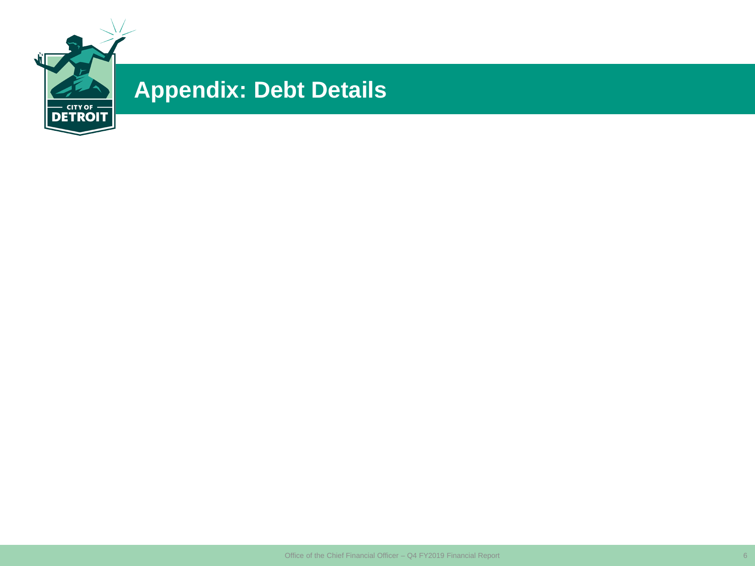

## **Appendix: Debt Details**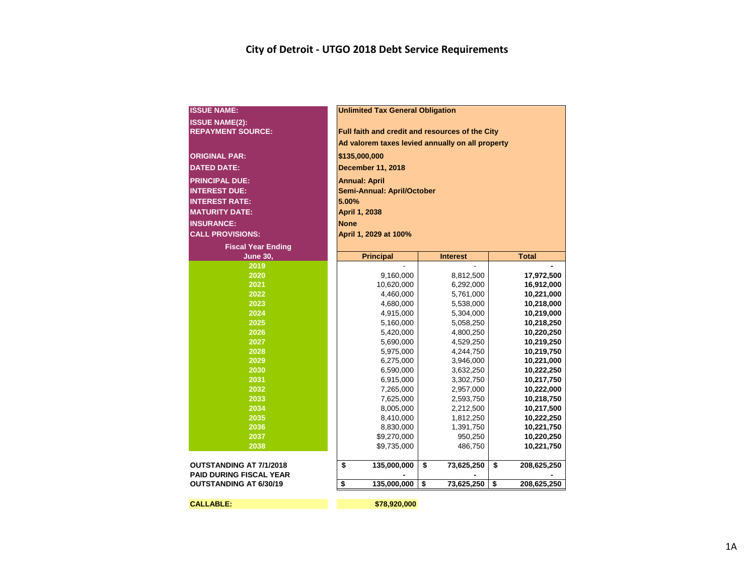#### **City of Detroit - UTGO 2018 Debt Service Requirements**

| <b>ISSUE NAME:</b>                                               | <b>Unlimited Tax General Obligation</b>          |                  |                   |  |  |  |  |  |  |  |  |  |  |
|------------------------------------------------------------------|--------------------------------------------------|------------------|-------------------|--|--|--|--|--|--|--|--|--|--|
| <b>ISSUE NAME(2):</b>                                            |                                                  |                  |                   |  |  |  |  |  |  |  |  |  |  |
| <b>REPAYMENT SOURCE:</b>                                         | Full faith and credit and resources of the City  |                  |                   |  |  |  |  |  |  |  |  |  |  |
|                                                                  | Ad valorem taxes levied annually on all property |                  |                   |  |  |  |  |  |  |  |  |  |  |
| <b>ORIGINAL PAR:</b>                                             | \$135,000,000                                    |                  |                   |  |  |  |  |  |  |  |  |  |  |
|                                                                  |                                                  |                  |                   |  |  |  |  |  |  |  |  |  |  |
| <b>DATED DATE:</b>                                               | <b>December 11, 2018</b>                         |                  |                   |  |  |  |  |  |  |  |  |  |  |
| <b>PRINCIPAL DUE:</b>                                            | <b>Annual: April</b>                             |                  |                   |  |  |  |  |  |  |  |  |  |  |
| <b>INTEREST DUE:</b>                                             | <b>Semi-Annual: April/October</b>                |                  |                   |  |  |  |  |  |  |  |  |  |  |
| <b>INTEREST RATE:</b>                                            | 5.00%                                            |                  |                   |  |  |  |  |  |  |  |  |  |  |
| <b>MATURITY DATE:</b>                                            | April 1, 2038                                    |                  |                   |  |  |  |  |  |  |  |  |  |  |
| <b>INSURANCE:</b>                                                | <b>None</b>                                      |                  |                   |  |  |  |  |  |  |  |  |  |  |
| <b>CALL PROVISIONS:</b>                                          | April 1, 2029 at 100%                            |                  |                   |  |  |  |  |  |  |  |  |  |  |
| <b>Fiscal Year Ending</b>                                        |                                                  |                  |                   |  |  |  |  |  |  |  |  |  |  |
| <b>June 30,</b>                                                  | <b>Principal</b>                                 | <b>Interest</b>  | <b>Total</b>      |  |  |  |  |  |  |  |  |  |  |
| 2019                                                             |                                                  |                  |                   |  |  |  |  |  |  |  |  |  |  |
| 2020                                                             | 9,160,000                                        | 8,812,500        | 17,972,500        |  |  |  |  |  |  |  |  |  |  |
| 2021                                                             | 10,620,000                                       | 6,292,000        | 16,912,000        |  |  |  |  |  |  |  |  |  |  |
| 2022                                                             | 4,460,000                                        | 5,761,000        | 10,221,000        |  |  |  |  |  |  |  |  |  |  |
| 2023                                                             | 4,680,000                                        | 5,538,000        | 10,218,000        |  |  |  |  |  |  |  |  |  |  |
| 2024                                                             | 4,915,000                                        | 5,304,000        | 10,219,000        |  |  |  |  |  |  |  |  |  |  |
| 2025                                                             | 5,160,000                                        | 5,058,250        | 10,218,250        |  |  |  |  |  |  |  |  |  |  |
| 2026                                                             | 5,420,000                                        | 4,800,250        | 10,220,250        |  |  |  |  |  |  |  |  |  |  |
| 2027                                                             | 5,690,000                                        | 4,529,250        | 10,219,250        |  |  |  |  |  |  |  |  |  |  |
| 2028                                                             | 5,975,000                                        | 4,244,750        | 10,219,750        |  |  |  |  |  |  |  |  |  |  |
| 2029                                                             | 6,275,000                                        | 3,946,000        | 10,221,000        |  |  |  |  |  |  |  |  |  |  |
| 2030                                                             | 6,590,000                                        | 3,632,250        | 10,222,250        |  |  |  |  |  |  |  |  |  |  |
| 2031                                                             | 6,915,000                                        | 3,302,750        | 10,217,750        |  |  |  |  |  |  |  |  |  |  |
| 2032                                                             | 7,265,000                                        | 2,957,000        | 10,222,000        |  |  |  |  |  |  |  |  |  |  |
| 2033                                                             | 7,625,000                                        | 2,593,750        | 10,218,750        |  |  |  |  |  |  |  |  |  |  |
| 2034                                                             | 8,005,000                                        | 2,212,500        | 10,217,500        |  |  |  |  |  |  |  |  |  |  |
| 2035                                                             | 8,410,000                                        | 1,812,250        | 10,222,250        |  |  |  |  |  |  |  |  |  |  |
| 2036                                                             | 8,830,000                                        | 1,391,750        | 10,221,750        |  |  |  |  |  |  |  |  |  |  |
| 2037                                                             | \$9,270,000                                      | 950,250          | 10,220,250        |  |  |  |  |  |  |  |  |  |  |
| 2038                                                             | \$9,735,000                                      | 486,750          | 10,221,750        |  |  |  |  |  |  |  |  |  |  |
| <b>OUTSTANDING AT 7/1/2018</b><br><b>PAID DURING FISCAL YEAR</b> | \$<br>135,000,000                                | \$<br>73,625,250 | \$<br>208,625,250 |  |  |  |  |  |  |  |  |  |  |
| <b>OUTSTANDING AT 6/30/19</b>                                    | \$<br>135,000,000                                | \$<br>73,625,250 | \$<br>208,625,250 |  |  |  |  |  |  |  |  |  |  |
| <b>CALLABLE:</b>                                                 | \$78,920,000                                     |                  |                   |  |  |  |  |  |  |  |  |  |  |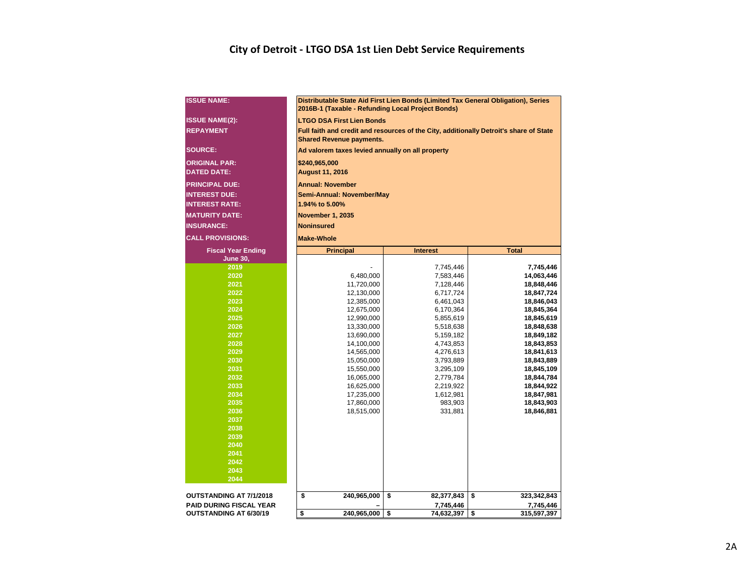#### **City of Detroit - LTGO DSA 1st Lien Debt Service Requirements**

| <b>ISSUE NAME:</b>             | 2016B-1 (Taxable - Refunding Local Project Bonds) | Distributable State Aid First Lien Bonds (Limited Tax General Obligation), Series |                                                                                        |  |  |  |  |  |  |  |  |  |  |
|--------------------------------|---------------------------------------------------|-----------------------------------------------------------------------------------|----------------------------------------------------------------------------------------|--|--|--|--|--|--|--|--|--|--|
| <b>ISSUE NAME(2):</b>          | <b>LTGO DSA First Lien Bonds</b>                  |                                                                                   |                                                                                        |  |  |  |  |  |  |  |  |  |  |
| <b>REPAYMENT</b>               | <b>Shared Revenue payments.</b>                   |                                                                                   | Full faith and credit and resources of the City, additionally Detroit's share of State |  |  |  |  |  |  |  |  |  |  |
| <b>SOURCE:</b>                 | Ad valorem taxes levied annually on all property  |                                                                                   |                                                                                        |  |  |  |  |  |  |  |  |  |  |
| <b>ORIGINAL PAR:</b>           | \$240,965,000                                     |                                                                                   |                                                                                        |  |  |  |  |  |  |  |  |  |  |
| <b>DATED DATE:</b>             | <b>August 11, 2016</b>                            |                                                                                   |                                                                                        |  |  |  |  |  |  |  |  |  |  |
| <b>PRINCIPAL DUE:</b>          | <b>Annual: November</b>                           |                                                                                   |                                                                                        |  |  |  |  |  |  |  |  |  |  |
| <b>INTEREST DUE:</b>           | Semi-Annual: November/May                         |                                                                                   |                                                                                        |  |  |  |  |  |  |  |  |  |  |
| <b>INTEREST RATE:</b>          | 1.94% to 5.00%                                    |                                                                                   |                                                                                        |  |  |  |  |  |  |  |  |  |  |
| <b>MATURITY DATE:</b>          | <b>November 1, 2035</b>                           |                                                                                   |                                                                                        |  |  |  |  |  |  |  |  |  |  |
| <b>INSURANCE:</b>              | <b>Noninsured</b>                                 |                                                                                   |                                                                                        |  |  |  |  |  |  |  |  |  |  |
| <b>CALL PROVISIONS:</b>        | <b>Make-Whole</b>                                 |                                                                                   |                                                                                        |  |  |  |  |  |  |  |  |  |  |
| <b>Fiscal Year Ending</b>      | <b>Principal</b>                                  | <b>Interest</b>                                                                   | <b>Total</b>                                                                           |  |  |  |  |  |  |  |  |  |  |
| <b>June 30,</b>                |                                                   |                                                                                   |                                                                                        |  |  |  |  |  |  |  |  |  |  |
| 2019                           |                                                   | 7,745,446                                                                         | 7,745,446                                                                              |  |  |  |  |  |  |  |  |  |  |
| 2020                           | 6,480,000                                         | 7,583,446                                                                         | 14,063,446                                                                             |  |  |  |  |  |  |  |  |  |  |
| 2021                           | 11,720,000                                        | 7,128,446                                                                         | 18,848,446                                                                             |  |  |  |  |  |  |  |  |  |  |
| 2022                           | 12,130,000                                        | 6,717,724                                                                         | 18,847,724                                                                             |  |  |  |  |  |  |  |  |  |  |
| 2023                           | 12,385,000                                        | 6,461,043                                                                         | 18,846,043                                                                             |  |  |  |  |  |  |  |  |  |  |
| 2024                           | 12,675,000                                        | 6,170,364                                                                         | 18,845,364                                                                             |  |  |  |  |  |  |  |  |  |  |
| 2025                           | 12,990,000                                        | 5,855,619                                                                         | 18,845,619                                                                             |  |  |  |  |  |  |  |  |  |  |
| 2026                           | 13,330,000                                        | 5,518,638                                                                         | 18,848,638                                                                             |  |  |  |  |  |  |  |  |  |  |
| 2027                           | 13,690,000                                        | 5,159,182                                                                         | 18,849,182                                                                             |  |  |  |  |  |  |  |  |  |  |
| 2028                           | 14,100,000                                        | 4,743,853                                                                         | 18,843,853                                                                             |  |  |  |  |  |  |  |  |  |  |
| 2029                           | 14,565,000                                        | 4,276,613                                                                         | 18,841,613                                                                             |  |  |  |  |  |  |  |  |  |  |
| 2030                           | 15,050,000                                        | 3,793,889                                                                         | 18,843,889                                                                             |  |  |  |  |  |  |  |  |  |  |
| 2031<br>2032                   | 15,550,000                                        | 3,295,109                                                                         | 18,845,109                                                                             |  |  |  |  |  |  |  |  |  |  |
| 2033                           | 16,065,000<br>16,625,000                          | 2,779,784<br>2,219,922                                                            | 18,844,784<br>18,844,922                                                               |  |  |  |  |  |  |  |  |  |  |
| 2034                           | 17,235,000                                        | 1,612,981                                                                         | 18,847,981                                                                             |  |  |  |  |  |  |  |  |  |  |
| 2035                           | 17,860,000                                        | 983,903                                                                           | 18,843,903                                                                             |  |  |  |  |  |  |  |  |  |  |
| 2036                           | 18,515,000                                        | 331,881                                                                           | 18,846,881                                                                             |  |  |  |  |  |  |  |  |  |  |
| 2037                           |                                                   |                                                                                   |                                                                                        |  |  |  |  |  |  |  |  |  |  |
| 2038                           |                                                   |                                                                                   |                                                                                        |  |  |  |  |  |  |  |  |  |  |
| 2039                           |                                                   |                                                                                   |                                                                                        |  |  |  |  |  |  |  |  |  |  |
| 2040                           |                                                   |                                                                                   |                                                                                        |  |  |  |  |  |  |  |  |  |  |
| 2041                           |                                                   |                                                                                   |                                                                                        |  |  |  |  |  |  |  |  |  |  |
| 2042                           |                                                   |                                                                                   |                                                                                        |  |  |  |  |  |  |  |  |  |  |
| 2043                           |                                                   |                                                                                   |                                                                                        |  |  |  |  |  |  |  |  |  |  |
| 2044                           |                                                   |                                                                                   |                                                                                        |  |  |  |  |  |  |  |  |  |  |
| OUTSTANDING AT 7/1/2018        | \$                                                | \$                                                                                | \$<br>323,342,843                                                                      |  |  |  |  |  |  |  |  |  |  |
|                                | 240,965,000                                       | 82,377,843                                                                        |                                                                                        |  |  |  |  |  |  |  |  |  |  |
| <b>PAID DURING FISCAL YEAR</b> |                                                   | 7,745,446                                                                         | 7,745,446                                                                              |  |  |  |  |  |  |  |  |  |  |
| <b>OUTSTANDING AT 6/30/19</b>  | \$<br>240,965,000                                 | \$<br>74,632,397                                                                  | \$<br>315,597,397                                                                      |  |  |  |  |  |  |  |  |  |  |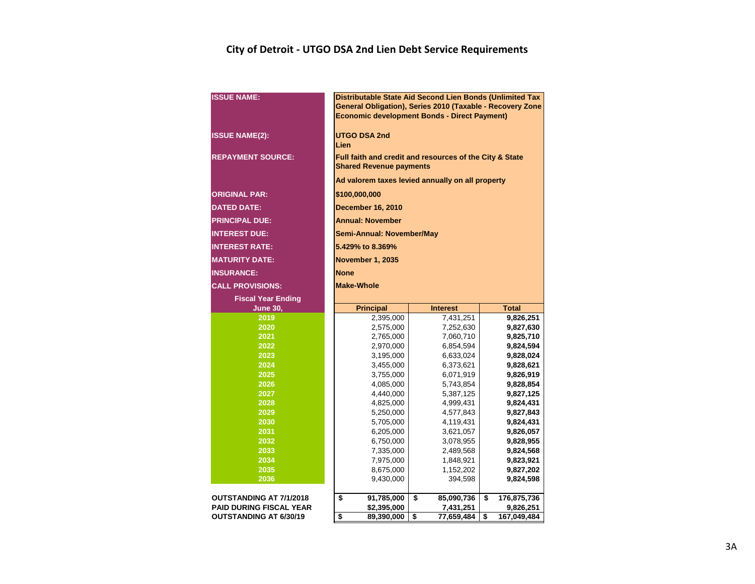#### **City of Detroit - UTGO DSA 2nd Lien Debt Service Requirements**

| <b>ISSUE NAME:</b>             | Distributable State Aid Second Lien Bonds (Unlimited Tax<br>General Obligation), Series 2010 (Taxable - Recovery Zone<br><b>Economic development Bonds - Direct Payment)</b> |                        |                        |  |  |  |  |  |  |  |  |  |  |  |
|--------------------------------|------------------------------------------------------------------------------------------------------------------------------------------------------------------------------|------------------------|------------------------|--|--|--|--|--|--|--|--|--|--|--|
| <b>ISSUE NAME(2):</b>          | <b>UTGO DSA 2nd</b><br>Lien                                                                                                                                                  |                        |                        |  |  |  |  |  |  |  |  |  |  |  |
| <b>REPAYMENT SOURCE:</b>       | Full faith and credit and resources of the City & State<br><b>Shared Revenue payments</b>                                                                                    |                        |                        |  |  |  |  |  |  |  |  |  |  |  |
|                                | Ad valorem taxes levied annually on all property                                                                                                                             |                        |                        |  |  |  |  |  |  |  |  |  |  |  |
| <b>ORIGINAL PAR:</b>           | \$100,000,000                                                                                                                                                                |                        |                        |  |  |  |  |  |  |  |  |  |  |  |
| <b>DATED DATE:</b>             | <b>December 16, 2010</b>                                                                                                                                                     |                        |                        |  |  |  |  |  |  |  |  |  |  |  |
| <b>PRINCIPAL DUE:</b>          | <b>Annual: November</b>                                                                                                                                                      |                        |                        |  |  |  |  |  |  |  |  |  |  |  |
| <b>INTEREST DUE:</b>           | Semi-Annual: November/May                                                                                                                                                    |                        |                        |  |  |  |  |  |  |  |  |  |  |  |
| <b>INTEREST RATE:</b>          | 5.429% to 8.369%                                                                                                                                                             |                        |                        |  |  |  |  |  |  |  |  |  |  |  |
| <b>MATURITY DATE:</b>          | <b>November 1, 2035</b>                                                                                                                                                      |                        |                        |  |  |  |  |  |  |  |  |  |  |  |
| <b>INSURANCE:</b>              | <b>None</b>                                                                                                                                                                  |                        |                        |  |  |  |  |  |  |  |  |  |  |  |
| <b>CALL PROVISIONS:</b>        | <b>Make-Whole</b>                                                                                                                                                            |                        |                        |  |  |  |  |  |  |  |  |  |  |  |
| <b>Fiscal Year Ending</b>      |                                                                                                                                                                              |                        |                        |  |  |  |  |  |  |  |  |  |  |  |
| <b>June 30,</b>                | <b>Principal</b><br><b>Total</b><br><b>Interest</b>                                                                                                                          |                        |                        |  |  |  |  |  |  |  |  |  |  |  |
| 2019                           | 7,431,251<br>9,826,251<br>2,395,000                                                                                                                                          |                        |                        |  |  |  |  |  |  |  |  |  |  |  |
| 2020                           | 2,575,000                                                                                                                                                                    | 7,252,630              | 9,827,630              |  |  |  |  |  |  |  |  |  |  |  |
| 2021                           | 2,765,000                                                                                                                                                                    | 7,060,710              | 9,825,710              |  |  |  |  |  |  |  |  |  |  |  |
| 2022                           | 2,970,000                                                                                                                                                                    | 6,854,594              | 9,824,594              |  |  |  |  |  |  |  |  |  |  |  |
| 2023                           | 3,195,000                                                                                                                                                                    | 6,633,024              | 9,828,024              |  |  |  |  |  |  |  |  |  |  |  |
| 2024                           | 3,455,000                                                                                                                                                                    | 6,373,621              | 9,828,621              |  |  |  |  |  |  |  |  |  |  |  |
| 2025                           | 3,755,000                                                                                                                                                                    | 6,071,919              | 9,826,919              |  |  |  |  |  |  |  |  |  |  |  |
| 2026                           | 4,085,000                                                                                                                                                                    | 5,743,854              | 9,828,854              |  |  |  |  |  |  |  |  |  |  |  |
| 2027<br>2028                   | 4,440,000                                                                                                                                                                    | 5,387,125              | 9,827,125              |  |  |  |  |  |  |  |  |  |  |  |
| 2029                           | 4,825,000<br>5,250,000                                                                                                                                                       | 4,999,431<br>4,577,843 | 9,824,431<br>9,827,843 |  |  |  |  |  |  |  |  |  |  |  |
| 2030                           | 5,705,000                                                                                                                                                                    | 4,119,431              | 9,824,431              |  |  |  |  |  |  |  |  |  |  |  |
| 2031                           | 6,205,000                                                                                                                                                                    | 3,621,057              | 9,826,057              |  |  |  |  |  |  |  |  |  |  |  |
| 2032                           | 6,750,000                                                                                                                                                                    | 3,078,955              | 9,828,955              |  |  |  |  |  |  |  |  |  |  |  |
| 2033                           | 7,335,000                                                                                                                                                                    | 2,489,568              | 9,824,568              |  |  |  |  |  |  |  |  |  |  |  |
| 2034                           | 7,975,000                                                                                                                                                                    | 1,848,921              | 9,823,921              |  |  |  |  |  |  |  |  |  |  |  |
| 2035                           | 8,675,000                                                                                                                                                                    | 1,152,202              | 9,827,202              |  |  |  |  |  |  |  |  |  |  |  |
| 2036                           | 9,430,000                                                                                                                                                                    | 394,598                | 9,824,598              |  |  |  |  |  |  |  |  |  |  |  |
| <b>OUTSTANDING AT 7/1/2018</b> | \$<br>91,785,000                                                                                                                                                             | \$<br>85,090,736       | \$<br>176,875,736      |  |  |  |  |  |  |  |  |  |  |  |
|                                |                                                                                                                                                                              |                        |                        |  |  |  |  |  |  |  |  |  |  |  |
| <b>PAID DURING FISCAL YEAR</b> | \$2,395,000                                                                                                                                                                  | 7,431,251              | 9,826,251              |  |  |  |  |  |  |  |  |  |  |  |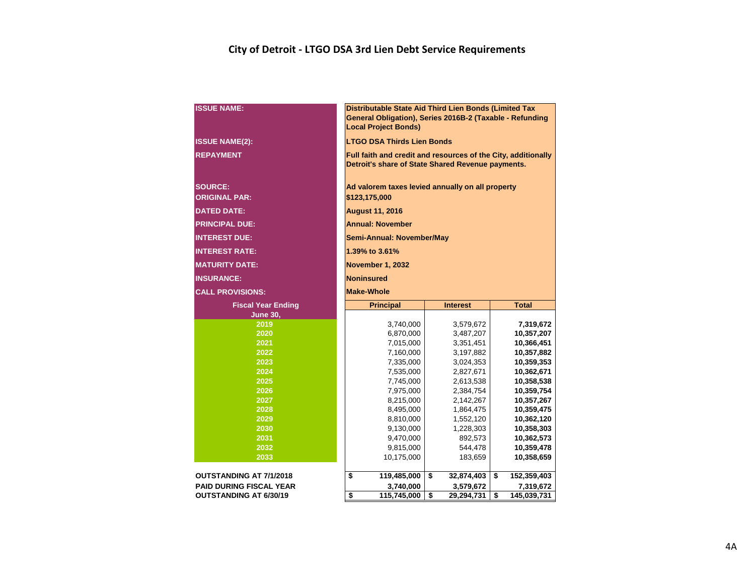### **City of Detroit - LTGO DSA 3rd Lien Debt Service Requirements**

| <b>ISSUE NAME:</b>             | Distributable State Aid Third Lien Bonds (Limited Tax<br>General Obligation), Series 2016B-2 (Taxable - Refunding<br><b>Local Project Bonds)</b> |                        |                          |  |  |  |  |  |  |  |  |  |  |  |
|--------------------------------|--------------------------------------------------------------------------------------------------------------------------------------------------|------------------------|--------------------------|--|--|--|--|--|--|--|--|--|--|--|
| <b>ISSUE NAME(2):</b>          | <b>LTGO DSA Thirds Lien Bonds</b>                                                                                                                |                        |                          |  |  |  |  |  |  |  |  |  |  |  |
| <b>REPAYMENT</b>               | Full faith and credit and resources of the City, additionally<br>Detroit's share of State Shared Revenue payments.                               |                        |                          |  |  |  |  |  |  |  |  |  |  |  |
| <b>SOURCE:</b>                 | Ad valorem taxes levied annually on all property                                                                                                 |                        |                          |  |  |  |  |  |  |  |  |  |  |  |
| <b>ORIGINAL PAR:</b>           | \$123,175,000                                                                                                                                    |                        |                          |  |  |  |  |  |  |  |  |  |  |  |
| <b>DATED DATE:</b>             | <b>August 11, 2016</b>                                                                                                                           |                        |                          |  |  |  |  |  |  |  |  |  |  |  |
| <b>PRINCIPAL DUE:</b>          | <b>Annual: November</b>                                                                                                                          |                        |                          |  |  |  |  |  |  |  |  |  |  |  |
| <b>INTEREST DUE:</b>           | Semi-Annual: November/May                                                                                                                        |                        |                          |  |  |  |  |  |  |  |  |  |  |  |
| <b>INTEREST RATE:</b>          | 1.39% to 3.61%                                                                                                                                   |                        |                          |  |  |  |  |  |  |  |  |  |  |  |
| <b>MATURITY DATE:</b>          | <b>November 1, 2032</b>                                                                                                                          |                        |                          |  |  |  |  |  |  |  |  |  |  |  |
| <b>INSURANCE:</b>              | <b>Noninsured</b>                                                                                                                                |                        |                          |  |  |  |  |  |  |  |  |  |  |  |
| <b>CALL PROVISIONS:</b>        | <b>Make-Whole</b>                                                                                                                                |                        |                          |  |  |  |  |  |  |  |  |  |  |  |
|                                | <b>Principal</b><br><b>Interest</b><br><b>Total</b>                                                                                              |                        |                          |  |  |  |  |  |  |  |  |  |  |  |
| <b>Fiscal Year Ending</b>      |                                                                                                                                                  |                        |                          |  |  |  |  |  |  |  |  |  |  |  |
| <b>June 30,</b>                |                                                                                                                                                  |                        |                          |  |  |  |  |  |  |  |  |  |  |  |
| 2019                           | 3,740,000                                                                                                                                        | 3,579,672              | 7,319,672                |  |  |  |  |  |  |  |  |  |  |  |
| 2020                           | 6,870,000                                                                                                                                        | 3,487,207              | 10,357,207               |  |  |  |  |  |  |  |  |  |  |  |
| 2021                           | 7,015,000                                                                                                                                        | 3,351,451              | 10,366,451               |  |  |  |  |  |  |  |  |  |  |  |
| 2022                           | 7,160,000                                                                                                                                        | 3,197,882              | 10,357,882               |  |  |  |  |  |  |  |  |  |  |  |
| 2023<br>2024                   | 7,335,000                                                                                                                                        | 3,024,353              | 10,359,353               |  |  |  |  |  |  |  |  |  |  |  |
| 2025                           | 7,535,000<br>7,745,000                                                                                                                           | 2,827,671<br>2,613,538 | 10,362,671<br>10,358,538 |  |  |  |  |  |  |  |  |  |  |  |
| 2026                           | 7,975,000                                                                                                                                        | 2,384,754              | 10,359,754               |  |  |  |  |  |  |  |  |  |  |  |
| 2027                           | 8,215,000                                                                                                                                        | 2,142,267              | 10,357,267               |  |  |  |  |  |  |  |  |  |  |  |
| 2028                           | 8,495,000                                                                                                                                        | 1,864,475              | 10,359,475               |  |  |  |  |  |  |  |  |  |  |  |
| 2029                           | 8,810,000                                                                                                                                        | 1,552,120              | 10,362,120               |  |  |  |  |  |  |  |  |  |  |  |
| 2030                           | 9,130,000                                                                                                                                        | 1,228,303              | 10,358,303               |  |  |  |  |  |  |  |  |  |  |  |
| 2031                           | 9,470,000                                                                                                                                        | 892,573                | 10,362,573               |  |  |  |  |  |  |  |  |  |  |  |
| 2032                           | 9,815,000                                                                                                                                        | 544,478                | 10,359,478               |  |  |  |  |  |  |  |  |  |  |  |
| 2033                           | 10,175,000                                                                                                                                       | 183,659                | 10,358,659               |  |  |  |  |  |  |  |  |  |  |  |
| <b>OUTSTANDING AT 7/1/2018</b> | 119,485,000                                                                                                                                      | \$<br>32,874,403       | \$<br>152,359,403        |  |  |  |  |  |  |  |  |  |  |  |
| <b>PAID DURING FISCAL YEAR</b> | \$<br>3,740,000                                                                                                                                  | 3,579,672              | 7,319,672                |  |  |  |  |  |  |  |  |  |  |  |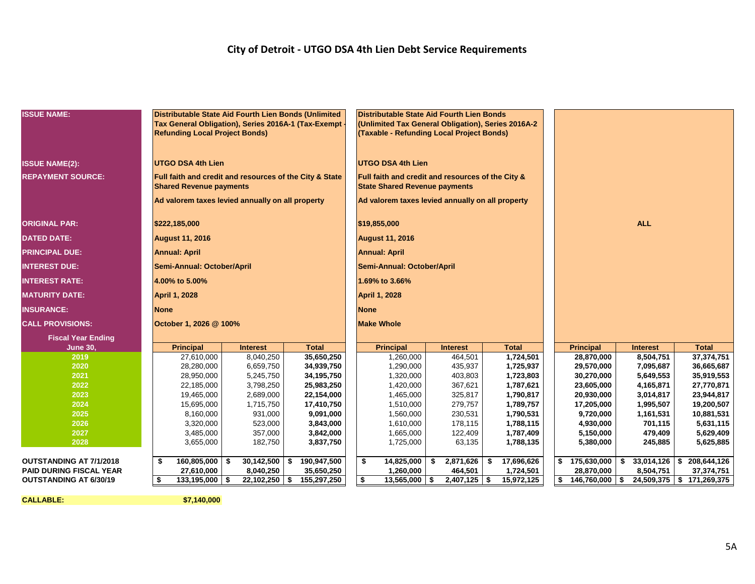#### **City of Detroit - UTGO DSA 4th Lien Debt Service Requirements**

| <b>ISSUE NAME:</b><br>Distributable State Aid Fourth Lien Bonds (Unlimited<br>Distributable State Aid Fourth Lien Bonds<br>Tax General Obligation), Series 2016A-1 (Tax-Exempt<br>(Unlimited Tax General Obligation), Series 2016A-2<br><b>Refunding Local Project Bonds)</b><br>(Taxable - Refunding Local Project Bonds)<br><b>UTGO DSA 4th Lien</b><br><b>UTGO DSA 4th Lien</b><br>Full faith and credit and resources of the City &<br><b>REPAYMENT SOURCE:</b><br>Full faith and credit and resources of the City & State<br><b>Shared Revenue payments</b><br><b>State Shared Revenue payments</b><br>Ad valorem taxes levied annually on all property<br>Ad valorem taxes levied annually on all property<br><b>ALL</b><br>\$222,185,000<br>\$19,855,000<br><b>August 11, 2016</b><br><b>August 11, 2016</b><br><b>Annual: April</b><br><b>Annual: April</b><br>Semi-Annual: October/April<br>Semi-Annual: October/April<br>1.69% to 3.66%<br>4.00% to 5.00%<br><b>April 1, 2028</b><br><b>April 1, 2028</b><br><b>INSURANCE:</b><br><b>None</b><br><b>None</b><br>October 1, 2026 @ 100%<br><b>Make Whole</b><br><b>Fiscal Year Ending</b><br><b>Total</b><br><b>Total</b><br><b>Total</b><br><b>June 30,</b><br><b>Principal</b><br><b>Interest</b><br><b>Principal</b><br><b>Interest</b><br><b>Principal</b><br><b>Interest</b><br>37,374,751<br>27,610,000<br>8,040,250<br>35,650,250<br>1,260,000<br>464,501<br>1,724,501<br>28,870,000<br>8,504,751<br>2019<br>2020<br>28,280,000<br>6,659,750<br>34,939,750<br>1,290,000<br>435,937<br>1,725,937<br>29,570,000<br>7,095,687<br>36,665,687<br>2021<br>1,320,000<br>30,270,000<br>28,950,000<br>5,245,750<br>34,195,750<br>403,803<br>1,723,803<br>5,649,553<br>35,919,553<br>2022<br>1,420,000<br>23,605,000<br>22,185,000<br>3,798,250<br>25,983,250<br>367,621<br>1,787,621<br>4,165,871<br>27,770,871<br>1,465,000<br>20,930,000<br>2023<br>19,465,000<br>2,689,000<br>22,154,000<br>325,817<br>1,790,817<br>3,014,817<br>23,944,817<br>2024<br>1,510,000<br>279,757<br>17,205,000<br>1,995,507<br>15,695,000<br>1,715,750<br>17,410,750<br>1,789,757<br>19,200,507<br>2025<br>8,160,000<br>931,000<br>9,091,000<br>1,560,000<br>230,531<br>9,720,000<br>10,881,531<br>1,790,531<br>1,161,531<br>2026<br>3,320,000<br>523,000<br>3,843,000<br>1,610,000<br>178,115<br>4,930,000<br>5,631,115<br>1,788,115<br>701,115<br>2027<br>3,485,000<br>357,000<br>3,842,000<br>1,665,000<br>122,409<br>1,787,409<br>5,150,000<br>479,409<br>5,629,409<br>2028<br>3,655,000<br>182,750<br>3,837,750<br>1,725,000<br>63,135<br>1,788,135<br>5,625,885<br>5,380,000<br>245,885<br>\$<br>17,696,626<br>208,644,126<br>160,805,000<br>30,142,500<br>190,947,500<br>14,825,000<br>- \$<br>2,871,626<br>\$<br>\$<br>175,630,000<br>\$<br>$33,014,126$ \$<br>OUTSTANDING AT 7/1/2018<br>\$<br>-S<br>\$<br><b>PAID DURING FISCAL YEAR</b><br>27,610,000<br>8,040,250<br>35,650,250<br>1,260,000<br>464,501<br>1,724,501<br>28,870,000<br>8,504,751<br>37,374,751<br>155,297,250<br>\$<br>13,565,000<br>$$146,760,000$ \ \$<br><b>OUTSTANDING AT 6/30/19</b><br>\$<br>$133,195,000$ \$<br>22,102,250<br>\$<br>\$<br>$2,407,125$ \$<br>15,972,125<br>24,509,375   \$ 171,269,375 |                         |  |  |  |  |  |  |  |  |  |  |  |
|------------------------------------------------------------------------------------------------------------------------------------------------------------------------------------------------------------------------------------------------------------------------------------------------------------------------------------------------------------------------------------------------------------------------------------------------------------------------------------------------------------------------------------------------------------------------------------------------------------------------------------------------------------------------------------------------------------------------------------------------------------------------------------------------------------------------------------------------------------------------------------------------------------------------------------------------------------------------------------------------------------------------------------------------------------------------------------------------------------------------------------------------------------------------------------------------------------------------------------------------------------------------------------------------------------------------------------------------------------------------------------------------------------------------------------------------------------------------------------------------------------------------------------------------------------------------------------------------------------------------------------------------------------------------------------------------------------------------------------------------------------------------------------------------------------------------------------------------------------------------------------------------------------------------------------------------------------------------------------------------------------------------------------------------------------------------------------------------------------------------------------------------------------------------------------------------------------------------------------------------------------------------------------------------------------------------------------------------------------------------------------------------------------------------------------------------------------------------------------------------------------------------------------------------------------------------------------------------------------------------------------------------------------------------------------------------------------------------------------------------------------------------------------------------------------------------------------------------------------------------------------------------------------------------------------------------------------------------------------------------------------------------------------------------------------------------------------------------------------------------------------------------------------------------------------------------------------------------------|-------------------------|--|--|--|--|--|--|--|--|--|--|--|
|                                                                                                                                                                                                                                                                                                                                                                                                                                                                                                                                                                                                                                                                                                                                                                                                                                                                                                                                                                                                                                                                                                                                                                                                                                                                                                                                                                                                                                                                                                                                                                                                                                                                                                                                                                                                                                                                                                                                                                                                                                                                                                                                                                                                                                                                                                                                                                                                                                                                                                                                                                                                                                                                                                                                                                                                                                                                                                                                                                                                                                                                                                                                                                                                                              |                         |  |  |  |  |  |  |  |  |  |  |  |
|                                                                                                                                                                                                                                                                                                                                                                                                                                                                                                                                                                                                                                                                                                                                                                                                                                                                                                                                                                                                                                                                                                                                                                                                                                                                                                                                                                                                                                                                                                                                                                                                                                                                                                                                                                                                                                                                                                                                                                                                                                                                                                                                                                                                                                                                                                                                                                                                                                                                                                                                                                                                                                                                                                                                                                                                                                                                                                                                                                                                                                                                                                                                                                                                                              | <b>ISSUE NAME(2):</b>   |  |  |  |  |  |  |  |  |  |  |  |
|                                                                                                                                                                                                                                                                                                                                                                                                                                                                                                                                                                                                                                                                                                                                                                                                                                                                                                                                                                                                                                                                                                                                                                                                                                                                                                                                                                                                                                                                                                                                                                                                                                                                                                                                                                                                                                                                                                                                                                                                                                                                                                                                                                                                                                                                                                                                                                                                                                                                                                                                                                                                                                                                                                                                                                                                                                                                                                                                                                                                                                                                                                                                                                                                                              |                         |  |  |  |  |  |  |  |  |  |  |  |
|                                                                                                                                                                                                                                                                                                                                                                                                                                                                                                                                                                                                                                                                                                                                                                                                                                                                                                                                                                                                                                                                                                                                                                                                                                                                                                                                                                                                                                                                                                                                                                                                                                                                                                                                                                                                                                                                                                                                                                                                                                                                                                                                                                                                                                                                                                                                                                                                                                                                                                                                                                                                                                                                                                                                                                                                                                                                                                                                                                                                                                                                                                                                                                                                                              |                         |  |  |  |  |  |  |  |  |  |  |  |
|                                                                                                                                                                                                                                                                                                                                                                                                                                                                                                                                                                                                                                                                                                                                                                                                                                                                                                                                                                                                                                                                                                                                                                                                                                                                                                                                                                                                                                                                                                                                                                                                                                                                                                                                                                                                                                                                                                                                                                                                                                                                                                                                                                                                                                                                                                                                                                                                                                                                                                                                                                                                                                                                                                                                                                                                                                                                                                                                                                                                                                                                                                                                                                                                                              | <b>ORIGINAL PAR:</b>    |  |  |  |  |  |  |  |  |  |  |  |
|                                                                                                                                                                                                                                                                                                                                                                                                                                                                                                                                                                                                                                                                                                                                                                                                                                                                                                                                                                                                                                                                                                                                                                                                                                                                                                                                                                                                                                                                                                                                                                                                                                                                                                                                                                                                                                                                                                                                                                                                                                                                                                                                                                                                                                                                                                                                                                                                                                                                                                                                                                                                                                                                                                                                                                                                                                                                                                                                                                                                                                                                                                                                                                                                                              | <b>DATED DATE:</b>      |  |  |  |  |  |  |  |  |  |  |  |
|                                                                                                                                                                                                                                                                                                                                                                                                                                                                                                                                                                                                                                                                                                                                                                                                                                                                                                                                                                                                                                                                                                                                                                                                                                                                                                                                                                                                                                                                                                                                                                                                                                                                                                                                                                                                                                                                                                                                                                                                                                                                                                                                                                                                                                                                                                                                                                                                                                                                                                                                                                                                                                                                                                                                                                                                                                                                                                                                                                                                                                                                                                                                                                                                                              | <b>PRINCIPAL DUE:</b>   |  |  |  |  |  |  |  |  |  |  |  |
|                                                                                                                                                                                                                                                                                                                                                                                                                                                                                                                                                                                                                                                                                                                                                                                                                                                                                                                                                                                                                                                                                                                                                                                                                                                                                                                                                                                                                                                                                                                                                                                                                                                                                                                                                                                                                                                                                                                                                                                                                                                                                                                                                                                                                                                                                                                                                                                                                                                                                                                                                                                                                                                                                                                                                                                                                                                                                                                                                                                                                                                                                                                                                                                                                              | <b>INTEREST DUE:</b>    |  |  |  |  |  |  |  |  |  |  |  |
|                                                                                                                                                                                                                                                                                                                                                                                                                                                                                                                                                                                                                                                                                                                                                                                                                                                                                                                                                                                                                                                                                                                                                                                                                                                                                                                                                                                                                                                                                                                                                                                                                                                                                                                                                                                                                                                                                                                                                                                                                                                                                                                                                                                                                                                                                                                                                                                                                                                                                                                                                                                                                                                                                                                                                                                                                                                                                                                                                                                                                                                                                                                                                                                                                              | <b>INTEREST RATE:</b>   |  |  |  |  |  |  |  |  |  |  |  |
|                                                                                                                                                                                                                                                                                                                                                                                                                                                                                                                                                                                                                                                                                                                                                                                                                                                                                                                                                                                                                                                                                                                                                                                                                                                                                                                                                                                                                                                                                                                                                                                                                                                                                                                                                                                                                                                                                                                                                                                                                                                                                                                                                                                                                                                                                                                                                                                                                                                                                                                                                                                                                                                                                                                                                                                                                                                                                                                                                                                                                                                                                                                                                                                                                              | <b>MATURITY DATE:</b>   |  |  |  |  |  |  |  |  |  |  |  |
|                                                                                                                                                                                                                                                                                                                                                                                                                                                                                                                                                                                                                                                                                                                                                                                                                                                                                                                                                                                                                                                                                                                                                                                                                                                                                                                                                                                                                                                                                                                                                                                                                                                                                                                                                                                                                                                                                                                                                                                                                                                                                                                                                                                                                                                                                                                                                                                                                                                                                                                                                                                                                                                                                                                                                                                                                                                                                                                                                                                                                                                                                                                                                                                                                              |                         |  |  |  |  |  |  |  |  |  |  |  |
|                                                                                                                                                                                                                                                                                                                                                                                                                                                                                                                                                                                                                                                                                                                                                                                                                                                                                                                                                                                                                                                                                                                                                                                                                                                                                                                                                                                                                                                                                                                                                                                                                                                                                                                                                                                                                                                                                                                                                                                                                                                                                                                                                                                                                                                                                                                                                                                                                                                                                                                                                                                                                                                                                                                                                                                                                                                                                                                                                                                                                                                                                                                                                                                                                              | <b>CALL PROVISIONS:</b> |  |  |  |  |  |  |  |  |  |  |  |
|                                                                                                                                                                                                                                                                                                                                                                                                                                                                                                                                                                                                                                                                                                                                                                                                                                                                                                                                                                                                                                                                                                                                                                                                                                                                                                                                                                                                                                                                                                                                                                                                                                                                                                                                                                                                                                                                                                                                                                                                                                                                                                                                                                                                                                                                                                                                                                                                                                                                                                                                                                                                                                                                                                                                                                                                                                                                                                                                                                                                                                                                                                                                                                                                                              |                         |  |  |  |  |  |  |  |  |  |  |  |
|                                                                                                                                                                                                                                                                                                                                                                                                                                                                                                                                                                                                                                                                                                                                                                                                                                                                                                                                                                                                                                                                                                                                                                                                                                                                                                                                                                                                                                                                                                                                                                                                                                                                                                                                                                                                                                                                                                                                                                                                                                                                                                                                                                                                                                                                                                                                                                                                                                                                                                                                                                                                                                                                                                                                                                                                                                                                                                                                                                                                                                                                                                                                                                                                                              |                         |  |  |  |  |  |  |  |  |  |  |  |
|                                                                                                                                                                                                                                                                                                                                                                                                                                                                                                                                                                                                                                                                                                                                                                                                                                                                                                                                                                                                                                                                                                                                                                                                                                                                                                                                                                                                                                                                                                                                                                                                                                                                                                                                                                                                                                                                                                                                                                                                                                                                                                                                                                                                                                                                                                                                                                                                                                                                                                                                                                                                                                                                                                                                                                                                                                                                                                                                                                                                                                                                                                                                                                                                                              |                         |  |  |  |  |  |  |  |  |  |  |  |
|                                                                                                                                                                                                                                                                                                                                                                                                                                                                                                                                                                                                                                                                                                                                                                                                                                                                                                                                                                                                                                                                                                                                                                                                                                                                                                                                                                                                                                                                                                                                                                                                                                                                                                                                                                                                                                                                                                                                                                                                                                                                                                                                                                                                                                                                                                                                                                                                                                                                                                                                                                                                                                                                                                                                                                                                                                                                                                                                                                                                                                                                                                                                                                                                                              |                         |  |  |  |  |  |  |  |  |  |  |  |
|                                                                                                                                                                                                                                                                                                                                                                                                                                                                                                                                                                                                                                                                                                                                                                                                                                                                                                                                                                                                                                                                                                                                                                                                                                                                                                                                                                                                                                                                                                                                                                                                                                                                                                                                                                                                                                                                                                                                                                                                                                                                                                                                                                                                                                                                                                                                                                                                                                                                                                                                                                                                                                                                                                                                                                                                                                                                                                                                                                                                                                                                                                                                                                                                                              |                         |  |  |  |  |  |  |  |  |  |  |  |
|                                                                                                                                                                                                                                                                                                                                                                                                                                                                                                                                                                                                                                                                                                                                                                                                                                                                                                                                                                                                                                                                                                                                                                                                                                                                                                                                                                                                                                                                                                                                                                                                                                                                                                                                                                                                                                                                                                                                                                                                                                                                                                                                                                                                                                                                                                                                                                                                                                                                                                                                                                                                                                                                                                                                                                                                                                                                                                                                                                                                                                                                                                                                                                                                                              |                         |  |  |  |  |  |  |  |  |  |  |  |
|                                                                                                                                                                                                                                                                                                                                                                                                                                                                                                                                                                                                                                                                                                                                                                                                                                                                                                                                                                                                                                                                                                                                                                                                                                                                                                                                                                                                                                                                                                                                                                                                                                                                                                                                                                                                                                                                                                                                                                                                                                                                                                                                                                                                                                                                                                                                                                                                                                                                                                                                                                                                                                                                                                                                                                                                                                                                                                                                                                                                                                                                                                                                                                                                                              |                         |  |  |  |  |  |  |  |  |  |  |  |
|                                                                                                                                                                                                                                                                                                                                                                                                                                                                                                                                                                                                                                                                                                                                                                                                                                                                                                                                                                                                                                                                                                                                                                                                                                                                                                                                                                                                                                                                                                                                                                                                                                                                                                                                                                                                                                                                                                                                                                                                                                                                                                                                                                                                                                                                                                                                                                                                                                                                                                                                                                                                                                                                                                                                                                                                                                                                                                                                                                                                                                                                                                                                                                                                                              |                         |  |  |  |  |  |  |  |  |  |  |  |
|                                                                                                                                                                                                                                                                                                                                                                                                                                                                                                                                                                                                                                                                                                                                                                                                                                                                                                                                                                                                                                                                                                                                                                                                                                                                                                                                                                                                                                                                                                                                                                                                                                                                                                                                                                                                                                                                                                                                                                                                                                                                                                                                                                                                                                                                                                                                                                                                                                                                                                                                                                                                                                                                                                                                                                                                                                                                                                                                                                                                                                                                                                                                                                                                                              |                         |  |  |  |  |  |  |  |  |  |  |  |
|                                                                                                                                                                                                                                                                                                                                                                                                                                                                                                                                                                                                                                                                                                                                                                                                                                                                                                                                                                                                                                                                                                                                                                                                                                                                                                                                                                                                                                                                                                                                                                                                                                                                                                                                                                                                                                                                                                                                                                                                                                                                                                                                                                                                                                                                                                                                                                                                                                                                                                                                                                                                                                                                                                                                                                                                                                                                                                                                                                                                                                                                                                                                                                                                                              |                         |  |  |  |  |  |  |  |  |  |  |  |
|                                                                                                                                                                                                                                                                                                                                                                                                                                                                                                                                                                                                                                                                                                                                                                                                                                                                                                                                                                                                                                                                                                                                                                                                                                                                                                                                                                                                                                                                                                                                                                                                                                                                                                                                                                                                                                                                                                                                                                                                                                                                                                                                                                                                                                                                                                                                                                                                                                                                                                                                                                                                                                                                                                                                                                                                                                                                                                                                                                                                                                                                                                                                                                                                                              |                         |  |  |  |  |  |  |  |  |  |  |  |
|                                                                                                                                                                                                                                                                                                                                                                                                                                                                                                                                                                                                                                                                                                                                                                                                                                                                                                                                                                                                                                                                                                                                                                                                                                                                                                                                                                                                                                                                                                                                                                                                                                                                                                                                                                                                                                                                                                                                                                                                                                                                                                                                                                                                                                                                                                                                                                                                                                                                                                                                                                                                                                                                                                                                                                                                                                                                                                                                                                                                                                                                                                                                                                                                                              |                         |  |  |  |  |  |  |  |  |  |  |  |
|                                                                                                                                                                                                                                                                                                                                                                                                                                                                                                                                                                                                                                                                                                                                                                                                                                                                                                                                                                                                                                                                                                                                                                                                                                                                                                                                                                                                                                                                                                                                                                                                                                                                                                                                                                                                                                                                                                                                                                                                                                                                                                                                                                                                                                                                                                                                                                                                                                                                                                                                                                                                                                                                                                                                                                                                                                                                                                                                                                                                                                                                                                                                                                                                                              |                         |  |  |  |  |  |  |  |  |  |  |  |
|                                                                                                                                                                                                                                                                                                                                                                                                                                                                                                                                                                                                                                                                                                                                                                                                                                                                                                                                                                                                                                                                                                                                                                                                                                                                                                                                                                                                                                                                                                                                                                                                                                                                                                                                                                                                                                                                                                                                                                                                                                                                                                                                                                                                                                                                                                                                                                                                                                                                                                                                                                                                                                                                                                                                                                                                                                                                                                                                                                                                                                                                                                                                                                                                                              |                         |  |  |  |  |  |  |  |  |  |  |  |
|                                                                                                                                                                                                                                                                                                                                                                                                                                                                                                                                                                                                                                                                                                                                                                                                                                                                                                                                                                                                                                                                                                                                                                                                                                                                                                                                                                                                                                                                                                                                                                                                                                                                                                                                                                                                                                                                                                                                                                                                                                                                                                                                                                                                                                                                                                                                                                                                                                                                                                                                                                                                                                                                                                                                                                                                                                                                                                                                                                                                                                                                                                                                                                                                                              |                         |  |  |  |  |  |  |  |  |  |  |  |

**CALLABLE: \$7,140,000**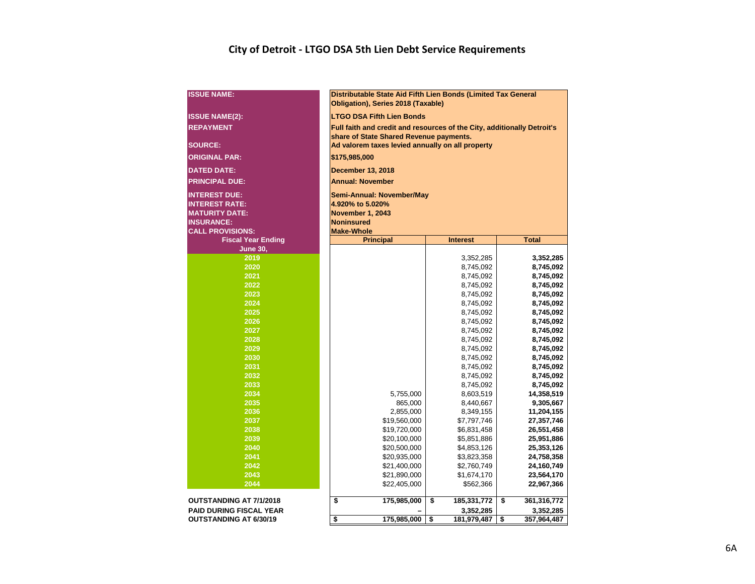### **City of Detroit - LTGO DSA 5th Lien Debt Service Requirements**

| <b>ISSUE NAME:</b>             | Distributable State Aid Fifth Lien Bonds (Limited Tax General<br>Obligation), Series 2018 (Taxable) |                            |                          |  |  |  |  |  |  |  |  |  |  |  |
|--------------------------------|-----------------------------------------------------------------------------------------------------|----------------------------|--------------------------|--|--|--|--|--|--|--|--|--|--|--|
| <b>ISSUE NAME(2):</b>          | <b>LTGO DSA Fifth Lien Bonds</b>                                                                    |                            |                          |  |  |  |  |  |  |  |  |  |  |  |
| <b>REPAYMENT</b>               | Full faith and credit and resources of the City, additionally Detroit's                             |                            |                          |  |  |  |  |  |  |  |  |  |  |  |
|                                | share of State Shared Revenue payments.                                                             |                            |                          |  |  |  |  |  |  |  |  |  |  |  |
| <b>SOURCE:</b>                 | Ad valorem taxes levied annually on all property                                                    |                            |                          |  |  |  |  |  |  |  |  |  |  |  |
| <b>ORIGINAL PAR:</b>           | \$175,985,000                                                                                       |                            |                          |  |  |  |  |  |  |  |  |  |  |  |
| <b>DATED DATE:</b>             | <b>December 13, 2018</b>                                                                            |                            |                          |  |  |  |  |  |  |  |  |  |  |  |
| <b>PRINCIPAL DUE:</b>          | <b>Annual: November</b>                                                                             |                            |                          |  |  |  |  |  |  |  |  |  |  |  |
| <b>INTEREST DUE:</b>           | Semi-Annual: November/May                                                                           |                            |                          |  |  |  |  |  |  |  |  |  |  |  |
| <b>INTEREST RATE:</b>          | 4.920% to 5.020%                                                                                    |                            |                          |  |  |  |  |  |  |  |  |  |  |  |
| <b>MATURITY DATE:</b>          | <b>November 1, 2043</b>                                                                             |                            |                          |  |  |  |  |  |  |  |  |  |  |  |
| <b>INSURANCE:</b>              | <b>Noninsured</b>                                                                                   |                            |                          |  |  |  |  |  |  |  |  |  |  |  |
| <b>CALL PROVISIONS:</b>        | <b>Make-Whole</b>                                                                                   |                            |                          |  |  |  |  |  |  |  |  |  |  |  |
| <b>Fiscal Year Ending</b>      | <b>Principal</b><br><b>Total</b><br><b>Interest</b>                                                 |                            |                          |  |  |  |  |  |  |  |  |  |  |  |
| <b>June 30,</b>                |                                                                                                     |                            |                          |  |  |  |  |  |  |  |  |  |  |  |
| 2019                           |                                                                                                     | 3,352,285                  | 3,352,285                |  |  |  |  |  |  |  |  |  |  |  |
| 2020                           |                                                                                                     | 8,745,092                  | 8,745,092                |  |  |  |  |  |  |  |  |  |  |  |
| 2021                           |                                                                                                     | 8,745,092                  | 8,745,092                |  |  |  |  |  |  |  |  |  |  |  |
| 2022                           |                                                                                                     | 8,745,092                  | 8,745,092                |  |  |  |  |  |  |  |  |  |  |  |
| 2023                           | 8,745,092<br>8,745,092                                                                              |                            |                          |  |  |  |  |  |  |  |  |  |  |  |
| 2024                           | 8,745,092<br>8,745,092                                                                              |                            |                          |  |  |  |  |  |  |  |  |  |  |  |
| 2025                           | 8,745,092<br>8,745,092                                                                              |                            |                          |  |  |  |  |  |  |  |  |  |  |  |
| 2026                           |                                                                                                     | 8,745,092                  | 8,745,092                |  |  |  |  |  |  |  |  |  |  |  |
| 2027                           |                                                                                                     | 8,745,092                  | 8,745,092                |  |  |  |  |  |  |  |  |  |  |  |
| 2028                           |                                                                                                     | 8,745,092                  | 8,745,092                |  |  |  |  |  |  |  |  |  |  |  |
| 2029                           |                                                                                                     | 8,745,092                  | 8,745,092                |  |  |  |  |  |  |  |  |  |  |  |
| 2030                           |                                                                                                     | 8,745,092                  | 8,745,092                |  |  |  |  |  |  |  |  |  |  |  |
| 2031                           |                                                                                                     | 8,745,092                  | 8,745,092                |  |  |  |  |  |  |  |  |  |  |  |
| 2032                           |                                                                                                     | 8,745,092                  | 8,745,092                |  |  |  |  |  |  |  |  |  |  |  |
| 2033                           |                                                                                                     | 8,745,092                  | 8,745,092                |  |  |  |  |  |  |  |  |  |  |  |
| 2034                           | 5,755,000                                                                                           | 8,603,519                  | 14,358,519               |  |  |  |  |  |  |  |  |  |  |  |
| 2035                           | 865,000                                                                                             | 8,440,667                  | 9,305,667                |  |  |  |  |  |  |  |  |  |  |  |
| 2036                           | 2,855,000                                                                                           | 8,349,155                  | 11,204,155               |  |  |  |  |  |  |  |  |  |  |  |
| 2037<br>2038                   | \$19,560,000                                                                                        | \$7,797,746                | 27,357,746               |  |  |  |  |  |  |  |  |  |  |  |
| 2039                           | \$19,720,000<br>\$20,100,000                                                                        | \$6,831,458<br>\$5,851,886 | 26,551,458<br>25,951,886 |  |  |  |  |  |  |  |  |  |  |  |
| 2040                           | \$20,500,000                                                                                        | \$4,853,126                | 25,353,126               |  |  |  |  |  |  |  |  |  |  |  |
| 2041                           | \$20,935,000                                                                                        | \$3,823,358                | 24,758,358               |  |  |  |  |  |  |  |  |  |  |  |
| 2042                           | \$21,400,000                                                                                        | \$2,760,749                | 24,160,749               |  |  |  |  |  |  |  |  |  |  |  |
| 2043                           | \$21,890,000<br>\$1,674,170<br>23,564,170                                                           |                            |                          |  |  |  |  |  |  |  |  |  |  |  |
| 2044                           | \$22,405,000                                                                                        | \$562,366                  | 22,967,366               |  |  |  |  |  |  |  |  |  |  |  |
|                                |                                                                                                     |                            |                          |  |  |  |  |  |  |  |  |  |  |  |
| <b>OUTSTANDING AT 7/1/2018</b> | \$<br>175,985,000                                                                                   | \$<br>185,331,772          | \$<br>361,316,772        |  |  |  |  |  |  |  |  |  |  |  |
| <b>PAID DURING FISCAL YEAR</b> |                                                                                                     | 3,352,285                  | 3,352,285                |  |  |  |  |  |  |  |  |  |  |  |
| <b>OUTSTANDING AT 6/30/19</b>  | \$<br>175,985,000                                                                                   | \$<br>181,979,487          | \$<br>357,964,487        |  |  |  |  |  |  |  |  |  |  |  |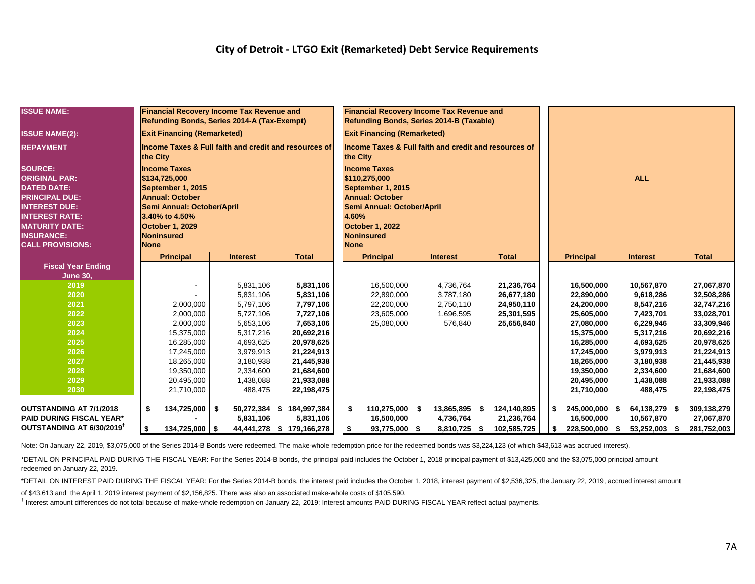#### **City of Detroit - LTGO Exit (Remarketed) Debt Service Requirements**

| <b>ISSUE NAME:</b>                             | <b>Financial Recovery Income Tax Revenue and</b><br>Refunding Bonds, Series 2014-A (Tax-Exempt) |                         |                          | <b>Financial Recovery Income Tax Revenue and</b><br>Refunding Bonds, Series 2014-B (Taxable) |     |                 |    |              |      |                          |      |                        |    |                          |  |  |
|------------------------------------------------|-------------------------------------------------------------------------------------------------|-------------------------|--------------------------|----------------------------------------------------------------------------------------------|-----|-----------------|----|--------------|------|--------------------------|------|------------------------|----|--------------------------|--|--|
| <b>ISSUE NAME(2):</b>                          | <b>Exit Financing (Remarketed)</b>                                                              |                         |                          | <b>Exit Financing (Remarketed)</b>                                                           |     |                 |    |              |      |                          |      |                        |    |                          |  |  |
| <b>REPAYMENT</b>                               | Income Taxes & Full faith and credit and resources of<br>the City                               |                         |                          | Income Taxes & Full faith and credit and resources of<br>the City                            |     |                 |    |              |      |                          |      |                        |    |                          |  |  |
| <b>SOURCE:</b>                                 | <b>Income Taxes</b>                                                                             |                         |                          | <b>Income Taxes</b>                                                                          |     |                 |    |              |      |                          |      |                        |    |                          |  |  |
| <b>ORIGINAL PAR:</b>                           | \$134,725,000                                                                                   |                         |                          | \$110,275,000                                                                                |     |                 |    |              |      |                          |      | <b>ALL</b>             |    |                          |  |  |
| <b>DATED DATE:</b>                             | September 1, 2015                                                                               |                         |                          | September 1, 2015                                                                            |     |                 |    |              |      |                          |      |                        |    |                          |  |  |
| <b>PRINCIPAL DUE:</b>                          | <b>Annual: October</b>                                                                          |                         |                          | <b>Annual: October</b>                                                                       |     |                 |    |              |      |                          |      |                        |    |                          |  |  |
| <b>INTEREST DUE:</b>                           | Semi Annual: October/April                                                                      |                         |                          | Semi Annual: October/April                                                                   |     |                 |    |              |      |                          |      |                        |    |                          |  |  |
| <b>INTEREST RATE:</b><br><b>MATURITY DATE:</b> | 3.40% to 4.50%<br><b>October 1, 2029</b>                                                        |                         |                          | 4.60%<br><b>October 1, 2022</b>                                                              |     |                 |    |              |      |                          |      |                        |    |                          |  |  |
| <b>INSURANCE:</b>                              | <b>Noninsured</b>                                                                               |                         |                          | <b>Noninsured</b>                                                                            |     |                 |    |              |      |                          |      |                        |    |                          |  |  |
| <b>CALL PROVISIONS:</b>                        | <b>None</b>                                                                                     |                         |                          | <b>None</b>                                                                                  |     |                 |    |              |      |                          |      |                        |    |                          |  |  |
|                                                | <b>Principal</b>                                                                                | <b>Interest</b>         | <b>Total</b>             | <b>Principal</b>                                                                             |     | <b>Interest</b> |    | <b>Total</b> |      | <b>Principal</b>         |      | <b>Interest</b>        |    | <b>Total</b>             |  |  |
| <b>Fiscal Year Ending</b>                      |                                                                                                 |                         |                          |                                                                                              |     |                 |    |              |      |                          |      |                        |    |                          |  |  |
| <b>June 30,</b>                                |                                                                                                 |                         |                          |                                                                                              |     |                 |    |              |      |                          |      |                        |    |                          |  |  |
| 2019                                           |                                                                                                 | 5,831,106               | 5,831,106                | 16,500,000                                                                                   |     | 4,736,764       |    | 21,236,764   |      | 16,500,000               |      | 10,567,870             |    | 27,067,870               |  |  |
| 2020                                           |                                                                                                 | 5,831,106               | 5,831,106                | 22,890,000                                                                                   |     | 3,787,180       |    | 26,677,180   |      | 22,890,000               |      | 9,618,286              |    | 32,508,286               |  |  |
| 2021                                           | 2,000,000                                                                                       | 5.797.106               | 7,797,106                | 22,200,000                                                                                   |     | 2,750,110       |    | 24,950,110   |      | 24,200,000               |      | 8,547,216              |    | 32,747,216               |  |  |
| 2022                                           | 2,000,000                                                                                       | 5,727,106               | 7,727,106                | 23,605,000                                                                                   |     | 1,696,595       |    | 25,301,595   |      | 25,605,000               |      | 7,423,701              |    | 33,028,701               |  |  |
| 2023                                           | 2,000,000                                                                                       | 5,653,106               | 7,653,106                | 25,080,000                                                                                   |     | 576,840         |    | 25,656,840   |      | 27,080,000               |      | 6,229,946              |    | 33,309,946               |  |  |
| 2024                                           | 15,375,000                                                                                      | 5,317,216               | 20,692,216               |                                                                                              |     |                 |    |              |      | 15,375,000               |      | 5,317,216              |    | 20,692,216               |  |  |
| 2025                                           | 16,285,000                                                                                      | 4,693,625               | 20,978,625               |                                                                                              |     |                 |    |              |      | 16,285,000               |      | 4,693,625              |    | 20,978,625               |  |  |
| 2026                                           | 17,245,000                                                                                      | 3,979,913               | 21,224,913               |                                                                                              |     |                 |    |              |      | 17,245,000               |      | 3,979,913              |    | 21,224,913               |  |  |
| 2027<br>2028                                   | 18,265,000                                                                                      | 3,180,938               | 21,445,938               |                                                                                              |     |                 |    |              |      | 18,265,000               |      | 3,180,938              |    | 21,445,938               |  |  |
| 2029                                           | 19,350,000<br>20,495,000                                                                        | 2,334,600<br>1,438,088  | 21,684,600<br>21,933,088 |                                                                                              |     |                 |    |              |      | 19,350,000<br>20,495,000 |      | 2,334,600<br>1,438,088 |    | 21,684,600<br>21,933,088 |  |  |
| 2030                                           | 21,710,000                                                                                      | 488,475                 | 22,198,475               |                                                                                              |     |                 |    |              |      | 21,710,000               |      | 488,475                |    | 22,198,475               |  |  |
|                                                |                                                                                                 |                         |                          |                                                                                              |     |                 |    |              |      |                          |      |                        |    |                          |  |  |
| <b>OUTSTANDING AT 7/1/2018</b>                 | 134,725,000 \$<br>\$                                                                            | $\overline{50,}272,384$ | \$184,997,384            | 110,275,000<br>-\$                                                                           | -\$ | 13,865,895      | \$ | 124,140,895  | l \$ | $245,000,000$ \$         |      | 64,138,279 \$          |    | 309,138,279              |  |  |
| <b>PAID DURING FISCAL YEAR*</b>                |                                                                                                 | 5,831,106               | 5,831,106                | 16,500,000                                                                                   |     | 4,736,764       |    | 21,236,764   |      | 16,500,000               |      | 10,567,870             |    | 27,067,870               |  |  |
| OUTSTANDING AT 6/30/2019 <sup>T</sup>          | S.<br>134,725,000 \$                                                                            | 44,441,278              | \$179,166,278            | \$<br>$93,775,000$ \$                                                                        |     | 8,810,725       | S. | 102,585,725  |      | 228,500,000              | l \$ | 53,252,003             | \$ | 281,752,003              |  |  |

Note: On January 22, 2019, \$3,075,000 of the Series 2014-B Bonds were redeemed. The make-whole redemption price for the redeemed bonds was \$3,224,123 (of which \$43,613 was accrued interest).

\*DETAIL ON PRINCIPAL PAID DURING THE FISCAL YEAR: For the Series 2014-B bonds, the principal paid includes the October 1, 2018 principal payment of \$13,425,000 and the \$3,075,000 principal amount redeemed on January 22, 2019.

\*DETAIL ON INTEREST PAID DURING THE FISCAL YEAR: For the Series 2014-B bonds, the interest paid includes the October 1, 2018, interest payment of \$2,536,325, the January 22, 2019, accrued interest amount

of \$43,613 and the April 1, 2019 interest payment of \$2,156,825. There was also an associated make-whole costs of \$105,590.

<sup>†</sup> Interest amount differences do not total because of make-whole redemption on January 22, 2019; Interest amounts PAID DURING FISCAL YEAR reflect actual payments.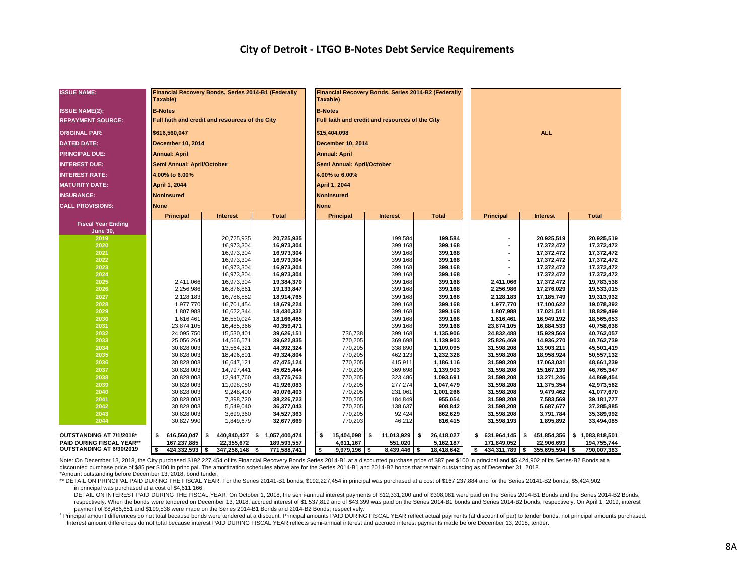| <b>ISSUE NAME:</b>                    | Taxable)                   | Financial Recovery Bonds, Series 2014-B1 (Federally |                          |                            | Financial Recovery Bonds, Series 2014-B2 (Federally<br>Taxable) |     |                    |    |                    |            |                  |                          |                          |  |  |  |
|---------------------------------------|----------------------------|-----------------------------------------------------|--------------------------|----------------------------|-----------------------------------------------------------------|-----|--------------------|----|--------------------|------------|------------------|--------------------------|--------------------------|--|--|--|
| <b>ISSUE NAME(2):</b>                 | <b>B-Notes</b>             |                                                     |                          |                            | <b>B-Notes</b>                                                  |     |                    |    |                    |            |                  |                          |                          |  |  |  |
| <b>REPAYMENT SOURCE:</b>              |                            | Full faith and credit and resources of the City     |                          |                            | Full faith and credit and resources of the City                 |     |                    |    |                    |            |                  |                          |                          |  |  |  |
| <b>ORIGINAL PAR:</b>                  | \$616,560,047              |                                                     |                          |                            | \$15,404,098                                                    |     |                    |    |                    | <b>ALL</b> |                  |                          |                          |  |  |  |
| <b>DATED DATE:</b>                    | December 10, 2014          |                                                     |                          |                            | <b>December 10, 2014</b>                                        |     |                    |    |                    |            |                  |                          |                          |  |  |  |
| <b>PRINCIPAL DUE:</b>                 | <b>Annual: April</b>       |                                                     |                          |                            | <b>Annual: April</b>                                            |     |                    |    |                    |            |                  |                          |                          |  |  |  |
| <b>INTEREST DUE:</b>                  | Semi Annual: April/October |                                                     |                          | Semi Annual: April/October |                                                                 |     |                    |    |                    |            |                  |                          |                          |  |  |  |
| <b>INTEREST RATE:</b>                 | 4.00% to 6.00%             |                                                     |                          |                            | 4.00% to 6.00%                                                  |     |                    |    |                    |            |                  |                          |                          |  |  |  |
| <b>MATURITY DATE:</b>                 | April 1, 2044              |                                                     |                          |                            | April 1, 2044                                                   |     |                    |    |                    |            |                  |                          |                          |  |  |  |
| <b>INSURANCE:</b>                     | <b>Noninsured</b>          |                                                     |                          |                            | <b>Noninsured</b>                                               |     |                    |    |                    |            |                  |                          |                          |  |  |  |
| <b>CALL PROVISIONS:</b>               | <b>None</b>                |                                                     |                          |                            | <b>None</b>                                                     |     |                    |    |                    |            |                  |                          |                          |  |  |  |
|                                       | <b>Principal</b>           | <b>Interest</b>                                     | <b>Total</b>             |                            | <b>Principal</b>                                                |     | <b>Interest</b>    |    | <b>Total</b>       |            | <b>Principal</b> | <b>Interest</b>          | <b>Total</b>             |  |  |  |
| <b>Fiscal Year Ending</b>             |                            |                                                     |                          |                            |                                                                 |     |                    |    |                    |            |                  |                          |                          |  |  |  |
| <b>June 30,</b>                       |                            |                                                     |                          |                            |                                                                 |     |                    |    |                    |            |                  |                          |                          |  |  |  |
| 2019                                  |                            | 20,725,935                                          | 20,725,935               |                            |                                                                 |     | 199,584            |    | 199,584            |            |                  | 20,925,519               | 20,925,519               |  |  |  |
| 2020<br>2021                          |                            | 16,973,304                                          | 16,973,304               |                            |                                                                 |     | 399,168<br>399,168 |    | 399,168<br>399,168 |            | ٠                | 17,372,472               | 17,372,472               |  |  |  |
| 2022                                  |                            | 16,973,304<br>16,973,304                            | 16,973,304<br>16,973,304 |                            |                                                                 |     | 399,168            |    | 399,168            |            | ٠                | 17,372,472<br>17,372,472 | 17,372,472<br>17,372,472 |  |  |  |
| 2023                                  |                            | 16,973,304                                          | 16,973,304               |                            |                                                                 |     | 399,168            |    | 399,168            |            |                  | 17,372,472               | 17,372,472               |  |  |  |
| 2024                                  |                            | 16,973,304                                          | 16,973,304               |                            |                                                                 |     | 399,168            |    | 399,168            |            |                  | 17,372,472               | 17,372,472               |  |  |  |
| 2025                                  | 2,411,066                  | 16,973,304                                          | 19,384,370               |                            |                                                                 |     | 399,168            |    | 399,168            |            | 2,411,066        | 17,372,472               | 19,783,538               |  |  |  |
| 2026                                  | 2,256,986                  | 16,876,861                                          | 19,133,847               |                            |                                                                 |     | 399,168            |    | 399,168            |            | 2,256,986        | 17,276,029               | 19,533,015               |  |  |  |
| 2027                                  | 2,128,183                  | 16,786,582                                          | 18,914,765               |                            |                                                                 |     | 399,168            |    | 399,168            |            | 2,128,183        | 17,185,749               | 19,313,932               |  |  |  |
| 2028                                  | 1,977,770                  | 16,701,454                                          | 18,679,224               |                            |                                                                 |     | 399,168            |    | 399,168            |            | 1,977,770        | 17,100,622               | 19,078,392               |  |  |  |
| 2029                                  | 1,807,988                  | 16,622,344                                          | 18,430,332               |                            |                                                                 |     | 399,168            |    | 399,168            |            | 1,807,988        | 17,021,511               | 18,829,499               |  |  |  |
| 2030                                  | 1,616,461                  | 16,550,024                                          | 18,166,485               |                            |                                                                 |     | 399,168            |    | 399,168            |            | 1,616,461        | 16,949,192               | 18,565,653               |  |  |  |
| 2031                                  | 23,874,105                 | 16,485,366                                          | 40,359,471               |                            |                                                                 |     | 399,168            |    | 399,168            |            | 23,874,105       | 16,884,533               | 40,758,638               |  |  |  |
| 2032                                  | 24,095,750                 | 15,530,401                                          | 39,626,151               |                            | 736,738                                                         |     | 399,168            |    | 1,135,906          |            | 24,832,488       | 15,929,569               | 40,762,057               |  |  |  |
| 2033                                  | 25,056,264                 | 14,566,571                                          | 39,622,835               |                            | 770,205                                                         |     | 369,698            |    | 1,139,903          |            | 25,826,469       | 14,936,270               | 40,762,739               |  |  |  |
| 2034                                  | 30,828,003                 | 13,564,321                                          | 44,392,324               |                            | 770,205                                                         |     | 338,890            |    | 1,109,095          |            | 31,598,208       | 13,903,211               | 45,501,419               |  |  |  |
| 2035                                  | 30,828,003                 | 18,496,801                                          | 49,324,804               |                            | 770,205                                                         |     | 462,123            |    | 1,232,328          |            | 31,598,208       | 18,958,924               | 50,557,132               |  |  |  |
| 2036                                  | 30,828,003                 | 16,647,121                                          | 47,475,124               |                            | 770,205                                                         |     | 415,911            |    | 1,186,116          |            | 31,598,208       | 17,063,031               | 48,661,239               |  |  |  |
| 2037                                  | 30,828,003                 | 14,797,441                                          | 45,625,444               |                            | 770,205                                                         |     | 369,698            |    | 1,139,903          |            | 31,598,208       | 15,167,139               | 46,765,347               |  |  |  |
| 2038                                  | 30,828,003                 | 12,947,760                                          | 43,775,763               |                            | 770,205                                                         |     | 323,486            |    | 1,093,691          |            | 31,598,208       | 13,271,246               | 44,869,454               |  |  |  |
| 2039                                  | 30,828,003                 | 11,098,080                                          | 41,926,083               |                            | 770,205                                                         |     | 277,274            |    | 1,047,479          |            | 31,598,208       | 11,375,354               | 42,973,562               |  |  |  |
| 2040                                  | 30,828,003                 | 9,248,400                                           | 40,076,403               |                            | 770,205                                                         |     | 231,061            |    | 1,001,266          |            | 31,598,208       | 9,479,462                | 41,077,670               |  |  |  |
| 2041                                  | 30,828,003                 | 7,398,720                                           | 38,226,723               |                            | 770,205                                                         |     | 184,849            |    | 955,054            |            | 31,598,208       | 7,583,569                | 39,181,777               |  |  |  |
| 2042                                  | 30,828,003                 | 5,549,040                                           | 36,377,043               |                            | 770,205                                                         |     | 138,637            |    | 908,842            |            | 31,598,208       | 5,687,677                | 37,285,885               |  |  |  |
| 2043                                  | 30,828,003                 | 3,699,360                                           | 34,527,363               |                            | 770,205                                                         |     | 92,424             |    | 862,629            |            | 31,598,208       | 3,791,784                | 35,389,992               |  |  |  |
| 2044                                  | 30,827,990                 | 1,849,679                                           | 32,677,669               |                            | 770,203                                                         |     | 46,212             |    | 816,415            |            | 31,598,193       | 1,895,892                | 33,494,085               |  |  |  |
| OUTSTANDING AT 7/1/2018*              | 616,560,047<br>\$          | 440,840,427 \$<br>\$                                | 1,057,400,474            |                            | 15,404,098<br>\$                                                | l S | 11,013,929         | \$ | 26,418,027         | \$         | 631,964,145      | 451,854,356<br>\$        | \$1,083,818,501          |  |  |  |
| <b>PAID DURING FISCAL YEAR**</b>      | 167,237,885                | 22,355,672                                          | 189,593,557              |                            | 4.611.167                                                       |     | 551.020            |    | 5,162,187          |            | 171.849.052      | 22,906,693               | 194,755,744              |  |  |  |
| OUTSTANDING AT 6/30/2019 <sup>T</sup> | \$<br>$424,332,593$ \$     | $347,256,148$ \$                                    | 771,588,741              |                            | S.<br>$9,979,196$ \$                                            |     | $8,439,446$ \$     |    | 18,418,642         | S.         | 434,311,789 \$   | $355,695,594$ \$         | 790,007,383              |  |  |  |

Note: On December 13, 2018, the City purchased \$192,227,454 of its Financial Recovery Bonds Series 2014-B1 at a discounted purchase price of \$87 per \$100 in principal and \$5,424,902 of its Series-B2 Bonds at a discounted purchase price of \$85 per \$100 in principal. The amortization schedules above are for the Series 2014-B1 and 2014-B2 bonds that remain outstanding as of December 31, 2018. \*Amount outstanding before December 13, 2018, bond tender.

\*\* DETAIL ON PRINCIPAL PAID DURING THE FISCAL YEAR: For the Series 20141-B1 bonds, \$192,227,454 in principal was purchased at a cost of \$167,237,884 and for the Series 20141-B2 bonds, \$5,424,902 in principal was purchased at a cost of \$4,611,166.

DETAIL ON INTEREST PAID DURING THE FISCAL YEAR: On October 1, 2018, the semi-annual interest payments of \$12,331,200 and of \$308,081 were paid on the Series 2014-B1 Bonds and the Series 2014-B2 Bonds, respectively. When the bonds were tendered on December 13, 2018, accrued interest of \$1,537,819 and of \$43,399 was paid on the Series 2014-B1 bonds and Series 2014-B2 bonds, respectively. On April 1, 2019, interest payment of \$8,486,651 and \$199,538 were made on the Series 2014-B1 Bonds and 2014-B2 Bonds, respectively.

† Principal amount differences do not total because bonds were tendered at a discount; Principal amounts PAID DURING FISCAL YEAR reflect actual payments (at discount of par) to tender bonds, not principal amounts purchased. Interest amount differences do not total because interest PAID DURING FISCAL YEAR reflects semi-annual interest and accrued interest payments made before December 13, 2018, tender.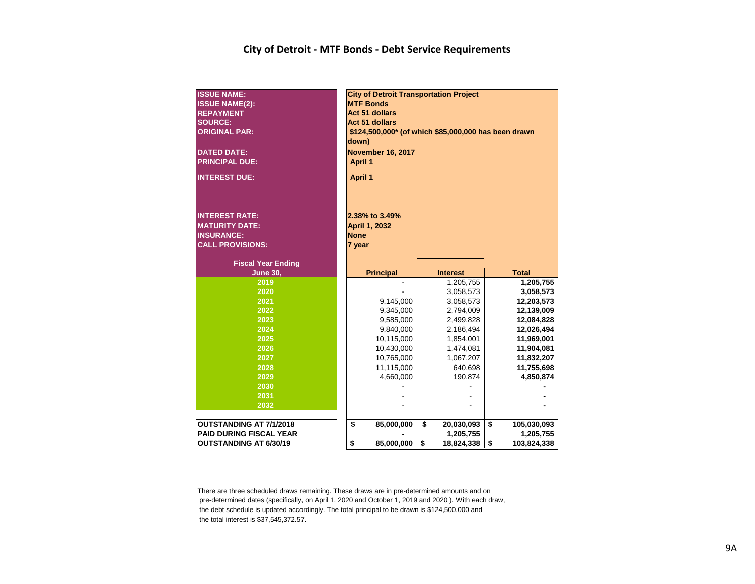#### **City of Detroit - MTF Bonds - Debt Service Requirements**

| <b>ISSUE NAME:</b><br><b>ISSUE NAME(2):</b><br><b>REPAYMENT</b><br><b>SOURCE:</b><br><b>ORIGINAL PAR:</b><br><b>DATED DATE:</b><br><b>PRINCIPAL DUE:</b><br><b>INTEREST DUE:</b> | <b>City of Detroit Transportation Project</b><br><b>MTF Bonds</b><br><b>Act 51 dollars</b><br><b>Act 51 dollars</b><br>\$124,500,000* (of which \$85,000,000 has been drawn<br>down)<br><b>November 16, 2017</b><br><b>April 1</b><br><b>April 1</b> |                                        |    |                 |    |              |  |  |  |  |  |
|----------------------------------------------------------------------------------------------------------------------------------------------------------------------------------|------------------------------------------------------------------------------------------------------------------------------------------------------------------------------------------------------------------------------------------------------|----------------------------------------|----|-----------------|----|--------------|--|--|--|--|--|
| <b>INTEREST RATE:</b><br><b>MATURITY DATE:</b><br><b>INSURANCE:</b><br><b>CALL PROVISIONS:</b><br><b>Fiscal Year Ending</b>                                                      | <b>None</b><br>7 year                                                                                                                                                                                                                                | 2.38% to 3.49%<br><b>April 1, 2032</b> |    |                 |    |              |  |  |  |  |  |
| <b>June 30,</b>                                                                                                                                                                  |                                                                                                                                                                                                                                                      | <b>Principal</b>                       |    | <b>Interest</b> |    | <b>Total</b> |  |  |  |  |  |
| 2019                                                                                                                                                                             |                                                                                                                                                                                                                                                      |                                        |    | 1,205,755       |    | 1,205,755    |  |  |  |  |  |
| 2020                                                                                                                                                                             |                                                                                                                                                                                                                                                      |                                        |    | 3,058,573       |    | 3,058,573    |  |  |  |  |  |
| 2021                                                                                                                                                                             |                                                                                                                                                                                                                                                      | 9,145,000                              |    | 3,058,573       |    | 12,203,573   |  |  |  |  |  |
| 2022                                                                                                                                                                             |                                                                                                                                                                                                                                                      | 9,345,000                              |    | 2,794,009       |    | 12,139,009   |  |  |  |  |  |
| 2023                                                                                                                                                                             |                                                                                                                                                                                                                                                      | 9,585,000                              |    | 2,499,828       |    | 12,084,828   |  |  |  |  |  |
| 2024                                                                                                                                                                             |                                                                                                                                                                                                                                                      | 9,840,000                              |    | 2,186,494       |    | 12,026,494   |  |  |  |  |  |
| 2025                                                                                                                                                                             |                                                                                                                                                                                                                                                      | 10,115,000                             |    | 1,854,001       |    | 11,969,001   |  |  |  |  |  |
| 2026                                                                                                                                                                             |                                                                                                                                                                                                                                                      | 10,430,000                             |    | 1,474,081       |    | 11,904,081   |  |  |  |  |  |
| 2027                                                                                                                                                                             |                                                                                                                                                                                                                                                      | 10,765,000                             |    | 1,067,207       |    | 11,832,207   |  |  |  |  |  |
| 2028                                                                                                                                                                             |                                                                                                                                                                                                                                                      | 11,115,000                             |    | 640,698         |    | 11,755,698   |  |  |  |  |  |
| 2029                                                                                                                                                                             |                                                                                                                                                                                                                                                      | 4,660,000                              |    | 190,874         |    | 4,850,874    |  |  |  |  |  |
| 2030                                                                                                                                                                             |                                                                                                                                                                                                                                                      |                                        |    |                 |    |              |  |  |  |  |  |
| 2031                                                                                                                                                                             |                                                                                                                                                                                                                                                      |                                        |    |                 |    |              |  |  |  |  |  |
| 2032                                                                                                                                                                             |                                                                                                                                                                                                                                                      |                                        |    |                 |    |              |  |  |  |  |  |
| <b>OUTSTANDING AT 7/1/2018</b>                                                                                                                                                   | \$                                                                                                                                                                                                                                                   | 85,000,000                             | \$ | 20,030,093      | \$ | 105,030,093  |  |  |  |  |  |
| <b>PAID DURING FISCAL YEAR</b>                                                                                                                                                   |                                                                                                                                                                                                                                                      |                                        |    | 1,205,755       |    | 1,205,755    |  |  |  |  |  |
| <b>OUTSTANDING AT 6/30/19</b>                                                                                                                                                    |                                                                                                                                                                                                                                                      |                                        |    |                 |    |              |  |  |  |  |  |

There are three scheduled draws remaining. These draws are in pre-determined amounts and on pre-determined dates (specifically, on April 1, 2020 and October 1, 2019 and 2020 ). With each draw, the debt schedule is updated accordingly. The total principal to be drawn is \$124,500,000 and the total interest is \$37,545,372.57.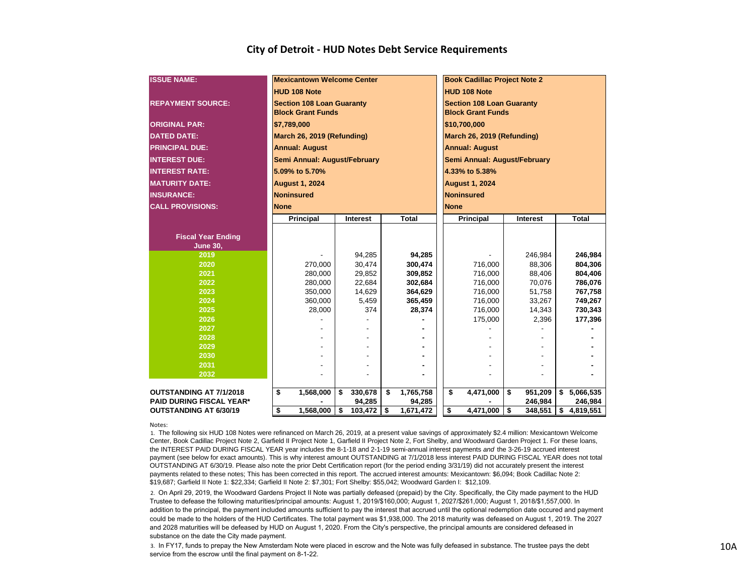| <b>ISSUE NAME:</b>              | <b>Mexicantown Welcome Center</b> |                 |                 | <b>Book Cadillac Project Note 2</b> |               |                 |  |  |  |  |  |  |  |
|---------------------------------|-----------------------------------|-----------------|-----------------|-------------------------------------|---------------|-----------------|--|--|--|--|--|--|--|
|                                 | <b>HUD 108 Note</b>               |                 |                 | <b>HUD 108 Note</b>                 |               |                 |  |  |  |  |  |  |  |
| <b>REPAYMENT SOURCE:</b>        | <b>Section 108 Loan Guaranty</b>  |                 |                 | <b>Section 108 Loan Guaranty</b>    |               |                 |  |  |  |  |  |  |  |
|                                 | <b>Block Grant Funds</b>          |                 |                 | <b>Block Grant Funds</b>            |               |                 |  |  |  |  |  |  |  |
| <b>ORIGINAL PAR:</b>            | \$7.789,000                       |                 |                 | \$10,700,000                        |               |                 |  |  |  |  |  |  |  |
| <b>DATED DATE:</b>              | March 26, 2019 (Refunding)        |                 |                 | March 26, 2019 (Refunding)          |               |                 |  |  |  |  |  |  |  |
| <b>PRINCIPAL DUE:</b>           | <b>Annual: August</b>             |                 |                 | <b>Annual: August</b>               |               |                 |  |  |  |  |  |  |  |
| <b>INTEREST DUE:</b>            | Semi Annual: August/February      |                 |                 | Semi Annual: August/February        |               |                 |  |  |  |  |  |  |  |
| <b>INTEREST RATE:</b>           | 5.09% to 5.70%                    |                 |                 | 4.33% to 5.38%                      |               |                 |  |  |  |  |  |  |  |
| <b>IMATURITY DATE:</b>          | <b>August 1, 2024</b>             |                 |                 | <b>August 1, 2024</b>               |               |                 |  |  |  |  |  |  |  |
| <b>INSURANCE:</b>               | <b>Noninsured</b>                 |                 |                 | <b>Noninsured</b>                   |               |                 |  |  |  |  |  |  |  |
| <b>CALL PROVISIONS:</b>         | <b>None</b>                       |                 |                 | <b>None</b>                         |               |                 |  |  |  |  |  |  |  |
|                                 | Principal                         | <b>Interest</b> | <b>Total</b>    | <b>Principal</b>                    | Interest      | <b>Total</b>    |  |  |  |  |  |  |  |
|                                 |                                   |                 |                 |                                     |               |                 |  |  |  |  |  |  |  |
| <b>Fiscal Year Ending</b>       |                                   |                 |                 |                                     |               |                 |  |  |  |  |  |  |  |
| <b>June 30,</b>                 |                                   |                 |                 |                                     |               |                 |  |  |  |  |  |  |  |
| 2019                            |                                   | 94,285          | 94,285          |                                     | 246,984       | 246,984         |  |  |  |  |  |  |  |
| 2020                            | 270,000                           | 30,474          | 300,474         | 716,000                             | 88,306        | 804,306         |  |  |  |  |  |  |  |
| 2021                            | 280,000                           | 29,852          | 309,852         | 716,000                             | 88,406        | 804,406         |  |  |  |  |  |  |  |
| 2022                            | 280.000                           | 22,684          | 302.684         | 716,000                             | 70.076        | 786,076         |  |  |  |  |  |  |  |
| 2023                            | 350,000                           | 14,629          | 364,629         | 716,000                             | 51,758        | 767,758         |  |  |  |  |  |  |  |
| 2024                            | 360.000                           | 5,459           | 365,459         | 716,000                             | 33,267        | 749,267         |  |  |  |  |  |  |  |
| 2025                            | 28,000                            | 374             | 28,374          | 716,000                             | 14,343        | 730,343         |  |  |  |  |  |  |  |
| 2026                            |                                   |                 |                 | 175,000                             | 2,396         | 177,396         |  |  |  |  |  |  |  |
| 2027                            |                                   |                 |                 |                                     |               |                 |  |  |  |  |  |  |  |
| 2028                            |                                   |                 |                 |                                     |               |                 |  |  |  |  |  |  |  |
| 2029                            |                                   |                 |                 |                                     |               |                 |  |  |  |  |  |  |  |
| 2030                            |                                   |                 |                 |                                     |               |                 |  |  |  |  |  |  |  |
| 2031                            |                                   |                 |                 |                                     |               |                 |  |  |  |  |  |  |  |
| 2032                            |                                   |                 |                 |                                     |               |                 |  |  |  |  |  |  |  |
| OUTSTANDING AT 7/1/2018         | \$<br>1,568,000                   | \$<br>330,678   | 1,765,758<br>\$ | \$<br>$\sqrt{4,}471,000$            | 951,209<br>\$ | 5,066,535<br>\$ |  |  |  |  |  |  |  |
| <b>PAID DURING FISCAL YEAR*</b> |                                   | 94,285          | 94,285          |                                     | 246,984       | 246,984         |  |  |  |  |  |  |  |
| <b>OUTSTANDING AT 6/30/19</b>   | \$<br>1,568,000                   | 103,472<br>\$   | \$<br>1,671,472 | \$<br>4,471,000                     | \$<br>348,551 | 4,819,551<br>\$ |  |  |  |  |  |  |  |

Notes:

1. The following six HUD 108 Notes were refinanced on March 26, 2019, at a present value savings of approximately \$2.4 million: Mexicantown Welcome Center, Book Cadillac Project Note 2, Garfield II Project Note 1, Garfield II Project Note 2, Fort Shelby, and Woodward Garden Project 1. For these loans, the INTEREST PAID DURING FISCAL YEAR year includes the 8-1-18 and 2-1-19 semi-annual interest payments *and* the 3-26-19 accrued interest payment (see below for exact amounts). This is why interest amount OUTSTANDING at 7/1/2018 less interest PAID DURING FISCAL YEAR does not total OUTSTANDING AT 6/30/19. Please also note the prior Debt Certification report (for the period ending 3/31/19) did not accurately present the interest payments related to these notes; This has been corrected in this report. The accrued interest amounts: Mexicantown: \$6,094; Book Cadillac Note 2: \$19,687; Garfield II Note 1: \$22,334; Garfield II Note 2: \$7,301; Fort Shelby: \$55,042; Woodward Garden I: \$12,109.

2. On April 29, 2019, the Woodward Gardens Project II Note was partially defeased (prepaid) by the City. Specifically, the City made payment to the HUD Trustee to defease the following maturities/principal amounts: August 1, 2019/\$160,000; August 1, 2027/\$261,000; August 1, 2018/\$1,557,000. In addition to the principal, the payment included amounts sufficient to pay the interest that accrued until the optional redemption date occured and payment could be made to the holders of the HUD Certificates. The total payment was \$1,938,000. The 2018 maturity was defeased on August 1, 2019. The 2027 and 2028 maturities will be defeased by HUD on August 1, 2020. From the City's perspective, the principal amounts are considered defeased in substance on the date the City made payment.

3. In FY17, funds to prepay the New Amsterdam Note were placed in escrow and the Note was fully defeased in substance. The trustee pays the debt service from the escrow until the final payment on 8-1-22.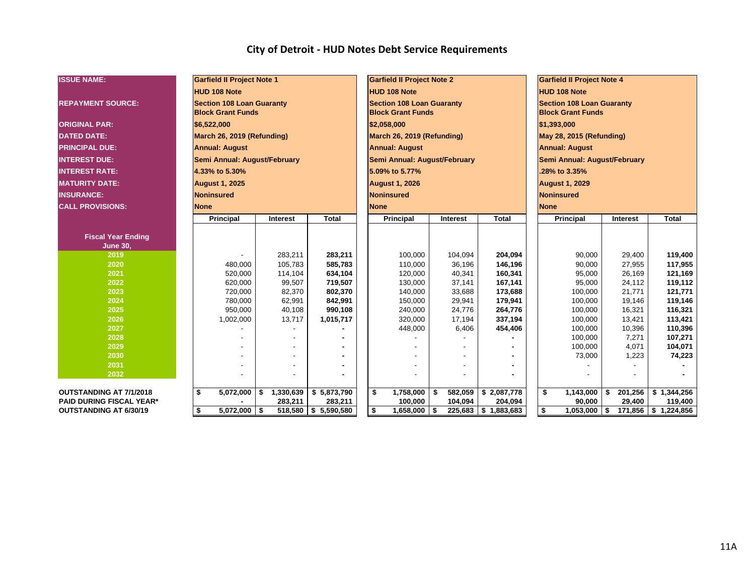| <b>ISSUE NAME:</b>              | <b>Garfield II Project Note 1</b> |                 |                      | <b>Garfield II Project Note 2</b> |               |                          | <b>Garfield II Project Note 4</b> |                              |                 |              |  |  |  |
|---------------------------------|-----------------------------------|-----------------|----------------------|-----------------------------------|---------------|--------------------------|-----------------------------------|------------------------------|-----------------|--------------|--|--|--|
|                                 | <b>HUD 108 Note</b>               |                 |                      | HUD 108 Note                      |               |                          | <b>HUD 108 Note</b>               |                              |                 |              |  |  |  |
| <b>REPAYMENT SOURCE:</b>        | <b>Section 108 Loan Guaranty</b>  |                 |                      | <b>Section 108 Loan Guaranty</b>  |               |                          | <b>Section 108 Loan Guaranty</b>  |                              |                 |              |  |  |  |
|                                 | <b>Block Grant Funds</b>          |                 |                      | <b>Block Grant Funds</b>          |               |                          | <b>Block Grant Funds</b>          |                              |                 |              |  |  |  |
| <b>ORIGINAL PAR:</b>            | \$6,522,000                       |                 |                      | \$2,058,000                       |               |                          | \$1,393,000                       |                              |                 |              |  |  |  |
| <b>DATED DATE:</b>              | March 26, 2019 (Refunding)        |                 |                      | March 26, 2019 (Refunding)        |               |                          | May 28, 2015 (Refunding)          |                              |                 |              |  |  |  |
| <b>PRINCIPAL DUE:</b>           | <b>Annual: August</b>             |                 |                      | <b>Annual: August</b>             |               |                          |                                   | <b>Annual: August</b>        |                 |              |  |  |  |
| <b>INTEREST DUE:</b>            | Semi Annual: August/February      |                 |                      | Semi Annual: August/February      |               |                          |                                   | Semi Annual: August/February |                 |              |  |  |  |
| <b>INTEREST RATE:</b>           | 4.33% to 5.30%                    |                 |                      | 5.09% to 5.77%                    |               |                          |                                   | .28% to 3.35%                |                 |              |  |  |  |
| <b>MATURITY DATE:</b>           | <b>August 1, 2025</b>             |                 |                      | <b>August 1, 2026</b>             |               |                          |                                   | <b>August 1, 2029</b>        |                 |              |  |  |  |
| <b>INSURANCE:</b>               | Noninsured                        |                 |                      | <b>Noninsured</b>                 |               |                          |                                   | Noninsured                   |                 |              |  |  |  |
| <b>CALL PROVISIONS:</b>         | <b>None</b>                       |                 |                      | <b>None</b>                       |               |                          |                                   | <b>None</b>                  |                 |              |  |  |  |
|                                 | Principal                         | Interest        | <b>Total</b>         | Principal                         | Interest      | <b>Total</b>             |                                   | Principal                    | Interest        | <b>Total</b> |  |  |  |
|                                 |                                   |                 |                      |                                   |               |                          |                                   |                              |                 |              |  |  |  |
| <b>Fiscal Year Ending</b>       |                                   |                 |                      |                                   |               |                          |                                   |                              |                 |              |  |  |  |
| <b>June 30,</b>                 |                                   |                 |                      |                                   |               |                          |                                   |                              |                 |              |  |  |  |
| 2019                            |                                   | 283,211         | 283,211              | 100,000                           | 104,094       | 204,094                  |                                   | 90,000                       | 29,400          | 119,400      |  |  |  |
| 2020                            | 480,000                           | 105,783         | 585,783              | 110,000                           | 36,196        | 146,196                  |                                   | 90,000                       | 27,955          | 117,955      |  |  |  |
| 2021                            | 520,000                           | 114,104         | 634,104              | 120,000                           | 40,341        | 160,341                  |                                   | 95,000                       | 26,169          | 121,169      |  |  |  |
| 2022                            | 620,000                           | 99,507          | 719,507              | 130,000                           | 37,141        | 167,141                  |                                   | 95,000                       | 24,112          | 119,112      |  |  |  |
| 2023                            | 720,000                           | 82,370          | 802,370              | 140,000                           | 33,688        | 173,688                  |                                   | 100,000                      | 21,771          | 121,771      |  |  |  |
| 2024                            | 780,000                           | 62,991          | 842,991              | 150,000                           | 29,941        | 179,941                  |                                   | 100,000                      | 19,146          | 119,146      |  |  |  |
| 2025                            | 950,000                           | 40,108          | 990,108              | 240,000                           | 24,776        | 264,776                  |                                   | 100,000                      | 16,321          | 116,321      |  |  |  |
| 2026                            | 1,002,000                         | 13,717          | 1,015,717            | 320,000                           | 17,194        | 337,194                  |                                   | 100,000                      | 13,421          | 113,421      |  |  |  |
| 2027                            |                                   |                 |                      | 448,000                           | 6,406         | 454,406                  |                                   | 100,000                      | 10,396          | 110,396      |  |  |  |
| 2028                            |                                   |                 |                      |                                   |               |                          |                                   | 100,000                      | 7,271           | 107,271      |  |  |  |
| 2029                            |                                   |                 |                      |                                   |               |                          |                                   | 100,000                      | 4,071           | 104,071      |  |  |  |
| 2030                            |                                   |                 |                      |                                   |               |                          |                                   | 73,000                       | 1,223           | 74,223       |  |  |  |
| 2031                            |                                   |                 |                      |                                   |               |                          |                                   |                              |                 |              |  |  |  |
| 2032                            |                                   |                 |                      |                                   |               |                          |                                   |                              |                 |              |  |  |  |
| OUTSTANDING AT 7/1/2018         | \$<br>5,072,000                   | 1,330,639<br>\$ | \$5,873,790          | \$<br>1,758,000                   | 582,059<br>\$ | \$2,087,778              |                                   | \$<br>1,143,000              | - \$<br>201,256 | \$1,344,256  |  |  |  |
| <b>PAID DURING FISCAL YEAR*</b> |                                   | 283,211         | 283,211              | 100,000                           | 104,094       | 204,094                  |                                   | 90,000                       | 29,400          | 119,400      |  |  |  |
| <b>OUTSTANDING AT 6/30/19</b>   | $5,072,000$ \$<br>\$              |                 | 518,580 \$ 5,590,580 | \$<br>1,658,000                   | \$            | $225,683$   \$ 1,883,683 |                                   | $1,053,000$ \$<br>\$         | 171,856         | \$1,224,856  |  |  |  |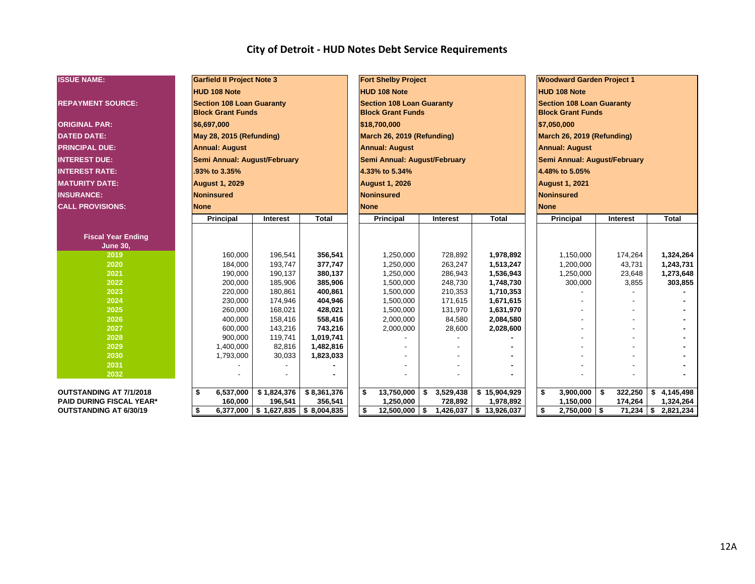| <b>ISSUE NAME:</b>              | <b>Garfield II Project Note 3</b> |                                       |              |  | <b>Fort Shelby Project</b>       |    |                            |                            | <b>Woodward Garden Project 1</b> |                              |     |                 |    |              |  |  |  |
|---------------------------------|-----------------------------------|---------------------------------------|--------------|--|----------------------------------|----|----------------------------|----------------------------|----------------------------------|------------------------------|-----|-----------------|----|--------------|--|--|--|
|                                 | <b>HUD 108 Note</b>               |                                       |              |  | HUD 108 Note                     |    |                            |                            |                                  | <b>HUD 108 Note</b>          |     |                 |    |              |  |  |  |
| <b>REPAYMENT SOURCE:</b>        | <b>Section 108 Loan Guaranty</b>  |                                       |              |  | <b>Section 108 Loan Guaranty</b> |    |                            |                            | <b>Section 108 Loan Guaranty</b> |                              |     |                 |    |              |  |  |  |
|                                 | <b>Block Grant Funds</b>          |                                       |              |  | <b>Block Grant Funds</b>         |    |                            |                            | <b>Block Grant Funds</b>         |                              |     |                 |    |              |  |  |  |
| <b>ORIGINAL PAR:</b>            | \$6,697,000                       |                                       |              |  | \$18,700,000                     |    |                            |                            | \$7,050,000                      |                              |     |                 |    |              |  |  |  |
| <b>DATED DATE:</b>              |                                   | May 28, 2015 (Refunding)              |              |  |                                  |    | March 26, 2019 (Refunding) | March 26, 2019 (Refunding) |                                  |                              |     |                 |    |              |  |  |  |
| <b>PRINCIPAL DUE:</b>           | <b>Annual: August</b>             |                                       |              |  | <b>Annual: August</b>            |    |                            |                            | <b>Annual: August</b>            |                              |     |                 |    |              |  |  |  |
| <b>INTEREST DUE:</b>            | Semi Annual: August/February      |                                       |              |  | Semi Annual: August/February     |    |                            |                            |                                  | Semi Annual: August/February |     |                 |    |              |  |  |  |
| <b>INTEREST RATE:</b>           | .93% to 3.35%                     |                                       |              |  | 4.33% to 5.34%                   |    |                            |                            |                                  | 4.48% to 5.05%               |     |                 |    |              |  |  |  |
| <b>MATURITY DATE:</b>           | <b>August 1, 2029</b>             |                                       |              |  | <b>August 1, 2026</b>            |    |                            |                            |                                  | <b>August 1, 2021</b>        |     |                 |    |              |  |  |  |
| <b>INSURANCE:</b>               | Noninsured                        |                                       |              |  | Noninsured                       |    |                            |                            |                                  | <b>Noninsured</b>            |     |                 |    |              |  |  |  |
| <b>CALL PROVISIONS:</b>         | <b>None</b>                       |                                       |              |  | <b>None</b>                      |    |                            |                            | <b>None</b>                      |                              |     |                 |    |              |  |  |  |
|                                 | Principal                         | Interest                              | <b>Total</b> |  | Principal                        |    | Interest                   | <b>Total</b>               |                                  | Principal                    |     | <b>Interest</b> |    | <b>Total</b> |  |  |  |
|                                 |                                   |                                       |              |  |                                  |    |                            |                            |                                  |                              |     |                 |    |              |  |  |  |
| <b>Fiscal Year Ending</b>       |                                   |                                       |              |  |                                  |    |                            |                            |                                  |                              |     |                 |    |              |  |  |  |
| <b>June 30,</b><br>2019         | 160,000                           | 196,541                               | 356,541      |  | 1,250,000                        |    | 728,892                    | 1,978,892                  |                                  | 1,150,000                    |     | 174,264         |    | 1,324,264    |  |  |  |
| 2020                            | 184,000                           | 193,747                               | 377,747      |  | 1,250,000                        |    | 263,247                    | 1,513,247                  |                                  | 1,200,000                    |     | 43,731          |    | 1,243,731    |  |  |  |
| 2021                            | 190,000                           | 190,137                               | 380,137      |  | 1,250,000                        |    | 286,943                    | 1,536,943                  |                                  | 1,250,000                    |     | 23,648          |    | 1,273,648    |  |  |  |
| 2022                            | 200,000                           | 185,906                               | 385,906      |  | 1,500,000                        |    | 248,730                    | 1,748,730                  |                                  | 300,000                      |     | 3,855           |    | 303,855      |  |  |  |
| 2023                            | 220,000                           | 180,861                               | 400,861      |  | 1,500,000                        |    | 210,353                    | 1,710,353                  |                                  |                              |     |                 |    |              |  |  |  |
| 2024                            | 230,000                           | 174,946                               | 404,946      |  | 1,500,000                        |    | 171,615                    | 1,671,615                  |                                  |                              |     |                 |    |              |  |  |  |
| 2025                            | 260,000                           | 168,021                               | 428,021      |  | 1,500,000                        |    | 131,970                    | 1,631,970                  |                                  |                              |     |                 |    |              |  |  |  |
| 2026                            | 400,000                           | 158,416                               | 558,416      |  | 2,000,000                        |    | 84,580                     | 2,084,580                  |                                  |                              |     |                 |    |              |  |  |  |
| 2027                            | 600,000                           | 143,216                               | 743,216      |  | 2,000,000                        |    | 28,600                     | 2,028,600                  |                                  |                              |     |                 |    |              |  |  |  |
| 2028                            | 900,000                           | 119,741                               | 1,019,741    |  |                                  |    |                            |                            |                                  |                              |     |                 |    |              |  |  |  |
| 2029                            | 1,400,000                         | 82,816                                | 1,482,816    |  |                                  |    |                            |                            |                                  |                              |     |                 |    |              |  |  |  |
| 2030                            | 1,793,000                         | 30,033                                | 1,823,033    |  |                                  |    |                            |                            |                                  |                              |     |                 |    |              |  |  |  |
| 2031                            |                                   |                                       |              |  |                                  |    |                            |                            |                                  |                              |     |                 |    |              |  |  |  |
| 2032                            |                                   |                                       |              |  |                                  |    |                            |                            |                                  |                              |     |                 |    |              |  |  |  |
| <b>OUTSTANDING AT 7/1/2018</b>  | \$<br>6,537,000                   | \$1,824,376                           | \$8,361,376  |  | S.<br>13,750,000                 | \$ | 3,529,438                  | \$15,904,929               | \$                               | 3,900,000                    | -\$ | 322,250         | \$ | 4,145,498    |  |  |  |
| <b>PAID DURING FISCAL YEAR*</b> | 160,000                           | 196,541                               | 356,541      |  | 1,250,000                        |    | 728,892                    | 1,978,892                  |                                  | 1,150,000                    |     | 174,264         |    | 1,324,264    |  |  |  |
|                                 |                                   |                                       |              |  |                                  |    |                            |                            |                                  |                              |     |                 |    |              |  |  |  |
| <b>OUTSTANDING AT 6/30/19</b>   | \$                                | $6,377,000$ \$ 1,627,835 \$ 8,004,835 |              |  | S.<br>$12,500,000$ \$            |    | 1,426,037                  | \$13,926,037               | \$                               | $2,750,000$ \ \$             |     | $71,234$ \$     |    | 2,821,234    |  |  |  |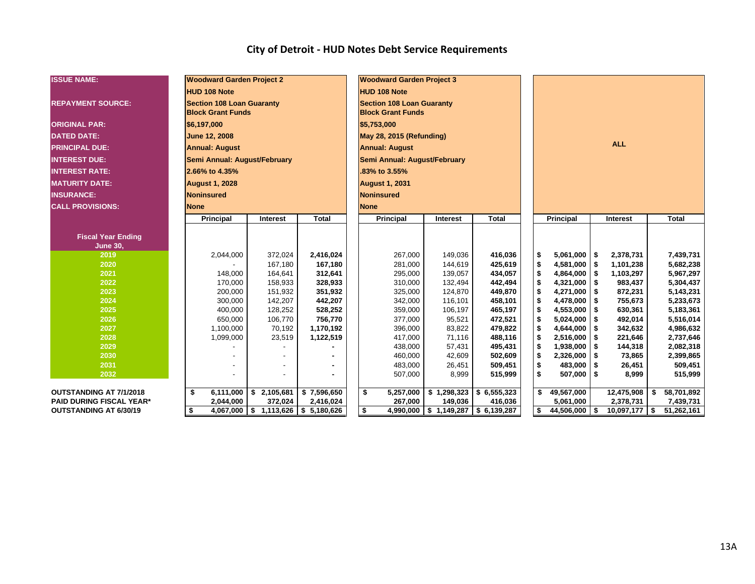| <b>ISSUE NAME:</b>              | <b>Woodward Garden Project 2</b> |                                        |              | <b>Woodward Garden Project 3</b> |                       |                         |  |    |                  |            |                 |    |              |  |
|---------------------------------|----------------------------------|----------------------------------------|--------------|----------------------------------|-----------------------|-------------------------|--|----|------------------|------------|-----------------|----|--------------|--|
|                                 | <b>HUD 108 Note</b>              |                                        |              | <b>HUD 108 Note</b>              |                       |                         |  |    |                  |            |                 |    |              |  |
| <b>REPAYMENT SOURCE:</b>        | <b>Section 108 Loan Guaranty</b> |                                        |              | <b>Section 108 Loan Guaranty</b> |                       |                         |  |    |                  |            |                 |    |              |  |
|                                 | <b>Block Grant Funds</b>         |                                        |              | <b>Block Grant Funds</b>         |                       |                         |  |    |                  |            |                 |    |              |  |
| <b>ORIGINAL PAR:</b>            | \$6,197,000                      |                                        |              | \$5,753,000                      |                       |                         |  |    |                  |            |                 |    |              |  |
| <b>DATED DATE:</b>              | <b>June 12, 2008</b>             |                                        |              | May 28, 2015 (Refunding)         |                       |                         |  |    |                  |            |                 |    |              |  |
| <b>PRINCIPAL DUE:</b>           | <b>Annual: August</b>            |                                        |              | <b>Annual: August</b>            |                       |                         |  |    | <b>ALL</b>       |            |                 |    |              |  |
| <b>INTEREST DUE:</b>            | Semi Annual: August/February     |                                        |              | Semi Annual: August/February     |                       |                         |  |    |                  |            |                 |    |              |  |
| <b>INTEREST RATE:</b>           | 2.66% to 4.35%                   |                                        |              | .83% to 3.55%                    |                       |                         |  |    |                  |            |                 |    |              |  |
| <b>MATURITY DATE:</b>           | <b>August 1, 2028</b>            |                                        |              | <b>August 1, 2031</b>            |                       |                         |  |    |                  |            |                 |    |              |  |
| <b>INSURANCE:</b>               | <b>Noninsured</b>                |                                        |              | <b>Noninsured</b>                |                       |                         |  |    |                  |            |                 |    |              |  |
| <b>CALL PROVISIONS:</b>         | <b>None</b>                      |                                        |              | <b>None</b>                      |                       |                         |  |    |                  |            |                 |    |              |  |
|                                 | Principal                        | Interest                               | <b>Total</b> | Principal                        | Interest              | <b>Total</b>            |  |    | <b>Principal</b> |            | Interest        |    | <b>Total</b> |  |
|                                 |                                  |                                        |              |                                  |                       |                         |  |    |                  |            |                 |    |              |  |
| <b>Fiscal Year Ending</b>       |                                  |                                        |              |                                  |                       |                         |  |    |                  |            |                 |    |              |  |
| <b>June 30,</b><br>2019         | 2,044,000                        | 372,024                                | 2,416,024    | 267,000                          | 149.036               | 416,036                 |  | \$ | $5,061,000$ \$   |            | 2,378,731       |    | 7,439,731    |  |
| 2020                            |                                  | 167,180                                | 167,180      | 281,000                          | 144,619               | 425,619                 |  | \$ | 4,581,000        | $\sqrt{3}$ | 1,101,238       |    | 5,682,238    |  |
| 2021                            | 148,000                          | 164,641                                | 312,641      | 295,000                          | 139,057               | 434,057                 |  | \$ | 4,864,000        | 5          | 1,103,297       |    | 5,967,297    |  |
| 2022                            | 170,000                          | 158,933                                | 328,933      | 310,000                          | 132,494               | 442,494                 |  | \$ | 4,321,000        | -\$        | 983,437         |    | 5,304,437    |  |
| 2023                            | 200,000                          | 151,932                                | 351,932      | 325,000                          | 124,870               | 449,870                 |  | \$ | 4,271,000        | \$         | 872,231         |    | 5,143,231    |  |
| 2024                            | 300,000                          | 142,207                                | 442,207      | 342,000                          | 116,101               | 458,101                 |  | \$ | 4,478,000        | -\$        | 755,673         |    | 5,233,673    |  |
| 2025                            | 400,000                          | 128,252                                | 528,252      | 359,000                          | 106,197               | 465,197                 |  | \$ | 4,553,000        | -\$        | 630,361         |    | 5,183,361    |  |
| 2026                            | 650,000                          | 106,770                                | 756,770      | 377,000                          | 95,521                | 472,521                 |  | \$ | 5,024,000        | -\$        | 492,014         |    | 5,516,014    |  |
| 2027                            | 1,100,000                        | 70,192                                 | 1,170,192    | 396,000                          | 83,822                | 479,822                 |  | \$ | 4,644,000        | -\$        | 342,632         |    | 4,986,632    |  |
| 2028                            | 1,099,000                        | 23,519                                 | 1,122,519    | 417,000                          | 71,116                | 488,116                 |  | \$ | 2,516,000        | -\$        | 221,646         |    | 2,737,646    |  |
| 2029                            |                                  |                                        |              | 438,000                          | 57,431                | 495,431                 |  | \$ | 1,938,000        | -\$        | 144,318         |    | 2,082,318    |  |
| 2030                            |                                  |                                        |              | 460,000                          | 42,609                | 502,609                 |  | \$ | 2,326,000        | ∣\$        | 73,865          |    | 2,399,865    |  |
| 2031                            |                                  |                                        |              | 483,000                          | 26,451                | 509,451                 |  | \$ | 483,000          | <b>S</b>   | 26,451          |    | 509,451      |  |
| 2032                            |                                  |                                        |              | 507,000                          | 8,999                 | 515,999                 |  | \$ | 507,000          | ∣\$        | 8,999           |    | 515,999      |  |
| <b>OUTSTANDING AT 7/1/2018</b>  | \$<br>6,111,000                  | \$2,105,681                            | \$7,596,650  | \$<br>5,257,000                  | \$1,298,323           | \$6,555,323             |  | \$ | 49,567,000       |            | 12,475,908      | \$ | 58,701,892   |  |
| <b>PAID DURING FISCAL YEAR*</b> | 2,044,000                        | 372,024                                | 2,416,024    | 267,000                          | 149,036               | 416,036                 |  |    | 5,061,000        |            | 2,378,731       |    | 7,439,731    |  |
| <b>OUTSTANDING AT 6/30/19</b>   | \$<br>4,067,000                  | $\frac{1}{2}$ 1,113,626 \ \$ 5,180,626 |              | \$                               | 4,990,000 \$1,149,287 | $\frac{1}{6}$ 6,139,287 |  | \$ | 44,506,000       | l \$       | $10,097,177$ \$ |    | 51,262,161   |  |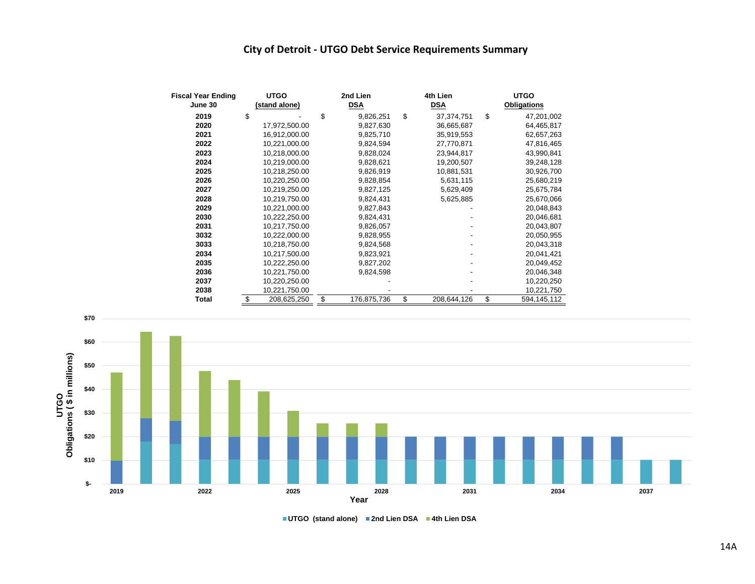#### **City of Detroit - UTGO Debt Service Requirements Summary**

| <b>Fiscal Year Ending</b> | <b>UTGO</b>       | 2nd Lien          | 4th Lien          | <b>UTGO</b> |                    |  |  |  |
|---------------------------|-------------------|-------------------|-------------------|-------------|--------------------|--|--|--|
| June 30                   | (stand alone)     | <b>DSA</b>        | <b>DSA</b>        |             | <b>Obligations</b> |  |  |  |
| 2019                      | \$                | \$<br>9,826,251   | \$<br>37,374,751  | \$          | 47,201,002         |  |  |  |
| 2020                      | 17,972,500.00     | 9,827,630         | 36,665,687        |             | 64,465,817         |  |  |  |
| 2021                      | 16,912,000.00     | 9,825,710         | 35,919,553        |             | 62,657,263         |  |  |  |
| 2022                      | 10,221,000.00     | 9,824,594         | 27,770,871        |             | 47,816,465         |  |  |  |
| 2023                      | 10,218,000.00     | 9,828,024         | 23,944,817        |             | 43,990,841         |  |  |  |
| 2024                      | 10,219,000.00     | 9,828,621         | 19,200,507        |             | 39,248,128         |  |  |  |
| 2025                      | 10,218,250.00     | 9,826,919         | 10,881,531        |             | 30,926,700         |  |  |  |
| 2026                      | 10,220,250.00     | 9,828,854         | 5,631,115         |             | 25,680,219         |  |  |  |
| 2027                      | 10,219,250.00     | 9,827,125         | 5,629,409         |             | 25,675,784         |  |  |  |
| 2028                      | 10,219,750.00     | 9,824,431         | 5,625,885         |             | 25,670,066         |  |  |  |
| 2029                      | 10,221,000.00     | 9,827,843         |                   |             | 20,048,843         |  |  |  |
| 2030                      | 10,222,250.00     | 9,824,431         |                   |             | 20,046,681         |  |  |  |
| 2031                      | 10,217,750.00     | 9,826,057         |                   |             | 20,043,807         |  |  |  |
| 3032                      | 10,222,000.00     | 9,828,955         |                   |             | 20,050,955         |  |  |  |
| 3033                      | 10,218,750.00     | 9,824,568         |                   |             | 20,043,318         |  |  |  |
| 2034                      | 10,217,500.00     | 9,823,921         |                   |             | 20,041,421         |  |  |  |
| 2035                      | 10,222,250.00     | 9,827,202         |                   |             | 20,049,452         |  |  |  |
| 2036                      | 10,221,750.00     | 9,824,598         |                   |             | 20,046,348         |  |  |  |
| 2037                      | 10,220,250.00     |                   |                   |             | 10,220,250         |  |  |  |
| 2038                      | 10,221,750.00     |                   |                   |             | 10,221,750         |  |  |  |
| <b>Total</b>              | \$<br>208,625,250 | \$<br>176,875,736 | \$<br>208,644,126 | \$          | 594,145,112        |  |  |  |



**UTGO (stand alone) 2nd Lien DSA 4th Lien DSA**